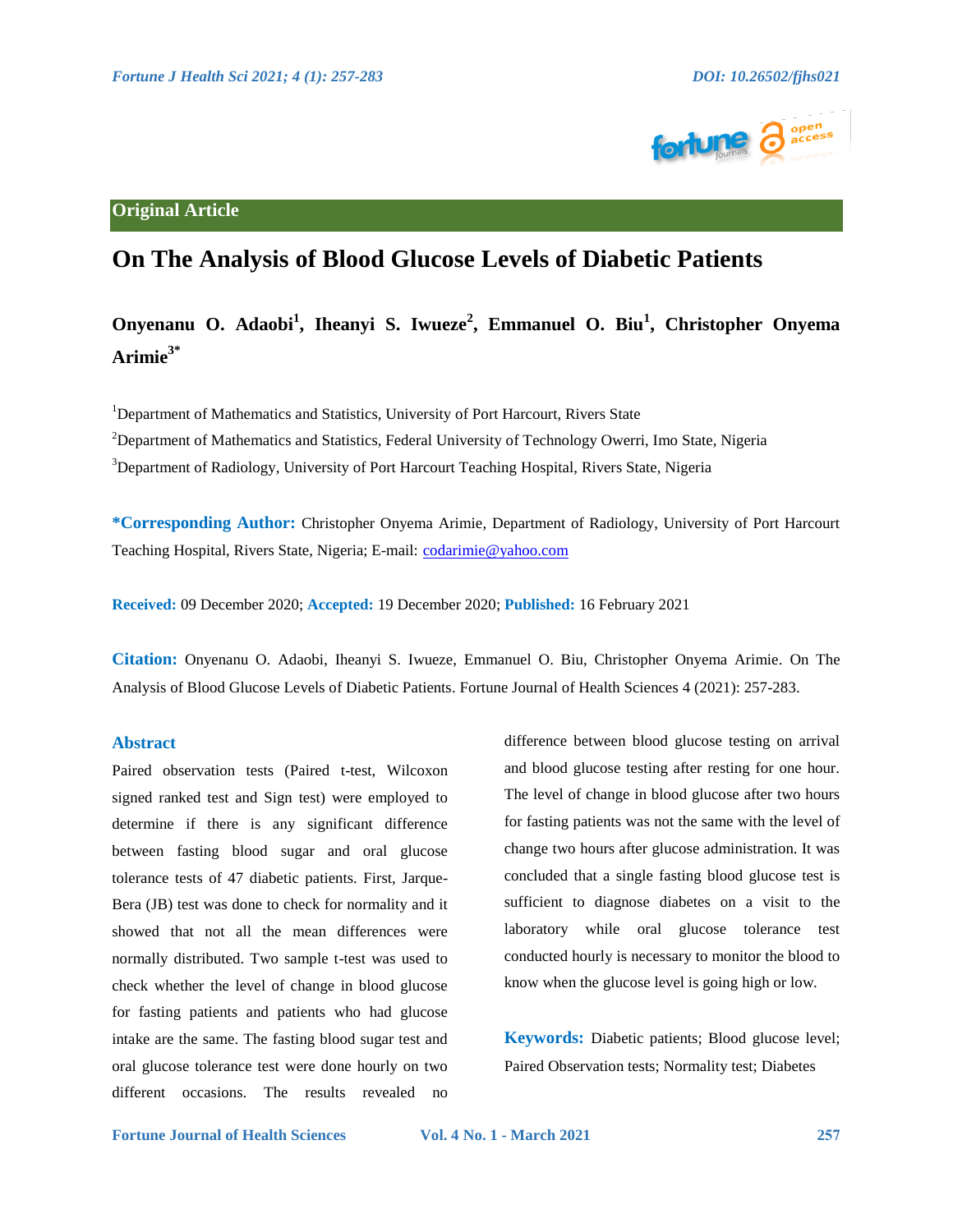

# **Original Article**

# **On The Analysis of Blood Glucose Levels of Diabetic Patients**

# **Onyenanu O. Adaobi<sup>1</sup> , Iheanyi S. Iwueze<sup>2</sup> , Emmanuel O. Biu<sup>1</sup> , Christopher Onyema Arimie3\***

<sup>1</sup>Department of Mathematics and Statistics, University of Port Harcourt, Rivers State <sup>2</sup>Department of Mathematics and Statistics, Federal University of Technology Owerri, Imo State, Nigeria <sup>3</sup>Department of Radiology, University of Port Harcourt Teaching Hospital, Rivers State, Nigeria

**\*Corresponding Author:** Christopher Onyema Arimie, Department of Radiology, University of Port Harcourt Teaching Hospital, Rivers State, Nigeria; E-mail: [codarimie@yahoo.com](mailto:codarimie@yahoo.com)

**Received:** 09 December 2020; **Accepted:** 19 December 2020; **Published:** 16 February 2021

**Citation:** Onyenanu O. Adaobi, Iheanyi S. Iwueze, Emmanuel O. Biu, Christopher Onyema Arimie. On The Analysis of Blood Glucose Levels of Diabetic Patients. Fortune Journal of Health Sciences 4 (2021): 257-283.

# **Abstract**

Paired observation tests (Paired t-test, Wilcoxon signed ranked test and Sign test) were employed to determine if there is any significant difference between fasting blood sugar and oral glucose tolerance tests of 47 diabetic patients. First, Jarque-Bera (JB) test was done to check for normality and it showed that not all the mean differences were normally distributed. Two sample t-test was used to check whether the level of change in blood glucose for fasting patients and patients who had glucose intake are the same. The fasting blood sugar test and oral glucose tolerance test were done hourly on two different occasions. The results revealed no

difference between blood glucose testing on arrival and blood glucose testing after resting for one hour. The level of change in blood glucose after two hours for fasting patients was not the same with the level of change two hours after glucose administration. It was concluded that a single fasting blood glucose test is sufficient to diagnose diabetes on a visit to the laboratory while oral glucose tolerance test conducted hourly is necessary to monitor the blood to know when the glucose level is going high or low.

**Keywords:** Diabetic patients; Blood glucose level; Paired Observation tests; Normality test; Diabetes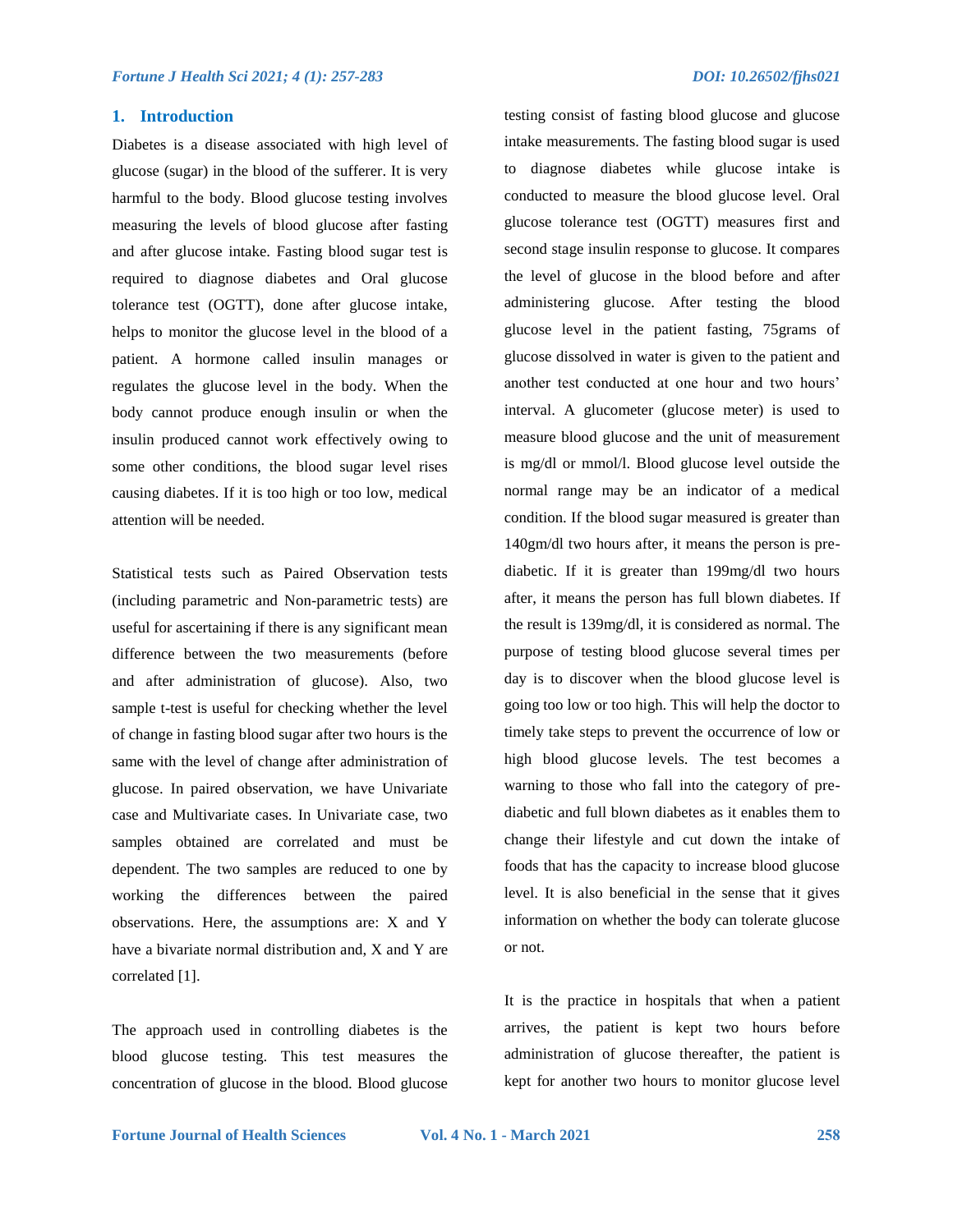## **1. Introduction**

Diabetes is a disease associated with high level of glucose (sugar) in the blood of the sufferer. It is very harmful to the body. Blood glucose testing involves measuring the levels of blood glucose after fasting and after glucose intake. Fasting blood sugar test is required to diagnose diabetes and Oral glucose tolerance test (OGTT), done after glucose intake, helps to monitor the glucose level in the blood of a patient. A hormone called insulin manages or regulates the glucose level in the body. When the body cannot produce enough insulin or when the insulin produced cannot work effectively owing to some other conditions, the blood sugar level rises causing diabetes. If it is too high or too low, medical attention will be needed.

Statistical tests such as Paired Observation tests (including parametric and Non-parametric tests) are useful for ascertaining if there is any significant mean difference between the two measurements (before and after administration of glucose). Also, two sample t-test is useful for checking whether the level of change in fasting blood sugar after two hours is the same with the level of change after administration of glucose. In paired observation, we have Univariate case and Multivariate cases. In Univariate case, two samples obtained are correlated and must be dependent. The two samples are reduced to one by working the differences between the paired observations. Here, the assumptions are: X and Y have a bivariate normal distribution and, X and Y are correlated [1].

The approach used in controlling diabetes is the blood glucose testing. This test measures the concentration of glucose in the blood. Blood glucose

testing consist of fasting blood glucose and glucose intake measurements. The fasting blood sugar is used to diagnose diabetes while glucose intake is conducted to measure the blood glucose level. Oral glucose tolerance test (OGTT) measures first and second stage insulin response to glucose. It compares the level of glucose in the blood before and after administering glucose. After testing the blood glucose level in the patient fasting, 75grams of glucose dissolved in water is given to the patient and another test conducted at one hour and two hours' interval. A glucometer (glucose meter) is used to measure blood glucose and the unit of measurement is mg/dl or mmol/l. Blood glucose level outside the normal range may be an indicator of a medical condition. If the blood sugar measured is greater than 140gm/dl two hours after, it means the person is prediabetic. If it is greater than 199mg/dl two hours after, it means the person has full blown diabetes. If the result is 139mg/dl, it is considered as normal. The purpose of testing blood glucose several times per day is to discover when the blood glucose level is going too low or too high. This will help the doctor to timely take steps to prevent the occurrence of low or high blood glucose levels. The test becomes a warning to those who fall into the category of prediabetic and full blown diabetes as it enables them to change their lifestyle and cut down the intake of foods that has the capacity to increase blood glucose level. It is also beneficial in the sense that it gives information on whether the body can tolerate glucose or not.

It is the practice in hospitals that when a patient arrives, the patient is kept two hours before administration of glucose thereafter, the patient is kept for another two hours to monitor glucose level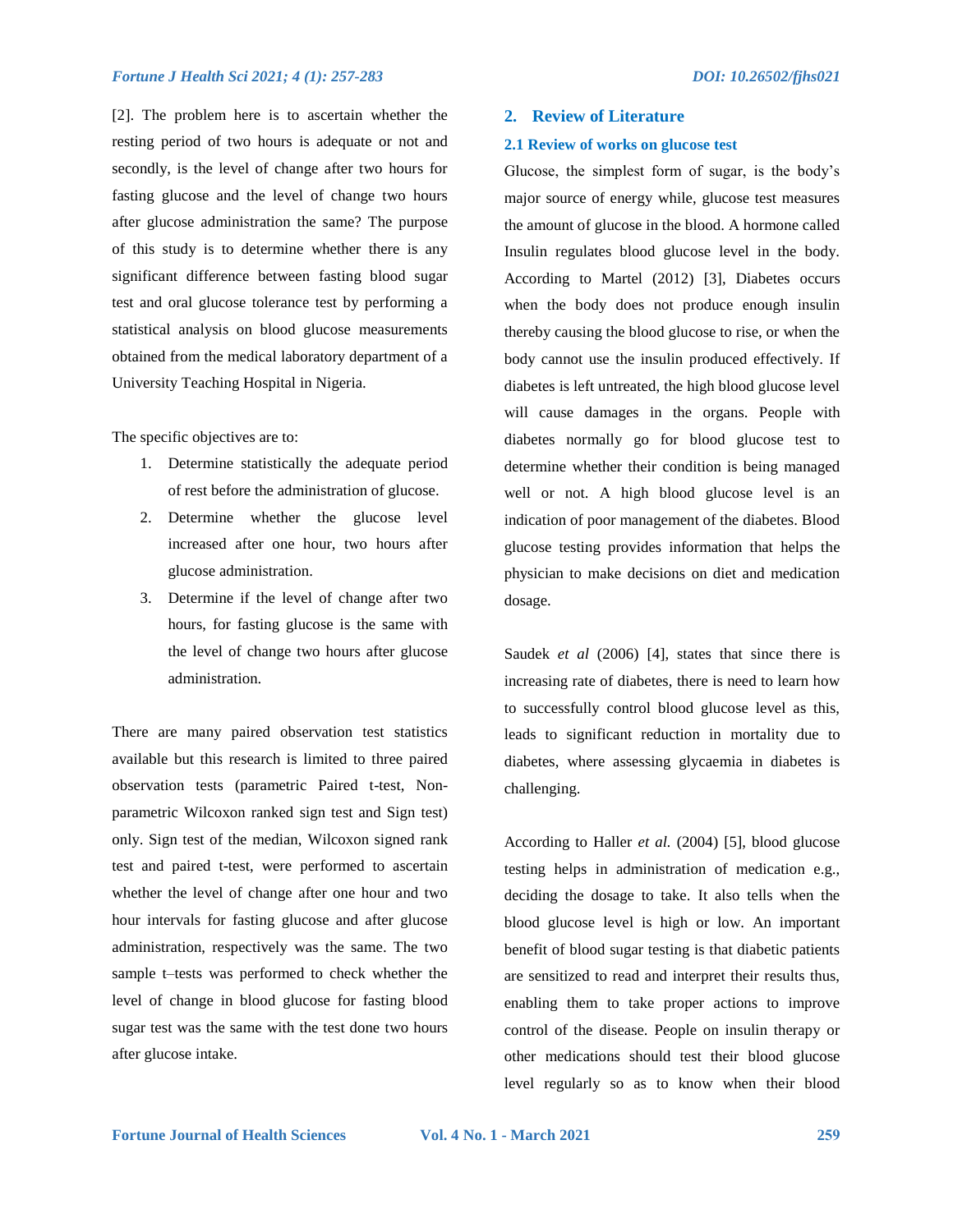[2]. The problem here is to ascertain whether the resting period of two hours is adequate or not and secondly, is the level of change after two hours for fasting glucose and the level of change two hours after glucose administration the same? The purpose of this study is to determine whether there is any significant difference between fasting blood sugar test and oral glucose tolerance test by performing a statistical analysis on blood glucose measurements obtained from the medical laboratory department of a University Teaching Hospital in Nigeria.

The specific objectives are to:

- 1. Determine statistically the adequate period of rest before the administration of glucose.
- 2. Determine whether the glucose level increased after one hour, two hours after glucose administration.
- 3. Determine if the level of change after two hours, for fasting glucose is the same with the level of change two hours after glucose administration.

There are many paired observation test statistics available but this research is limited to three paired observation tests (parametric Paired t-test, Nonparametric Wilcoxon ranked sign test and Sign test) only. Sign test of the median, Wilcoxon signed rank test and paired t-test, were performed to ascertain whether the level of change after one hour and two hour intervals for fasting glucose and after glucose administration, respectively was the same. The two sample t–tests was performed to check whether the level of change in blood glucose for fasting blood sugar test was the same with the test done two hours after glucose intake.

#### **2. Review of Literature**

#### **2.1 Review of works on glucose test**

Glucose, the simplest form of sugar, is the body"s major source of energy while, glucose test measures the amount of glucose in the blood. A hormone called Insulin regulates blood glucose level in the body. According to Martel (2012) [3], Diabetes occurs when the body does not produce enough insulin thereby causing the blood glucose to rise, or when the body cannot use the insulin produced effectively. If diabetes is left untreated, the high blood glucose level will cause damages in the organs. People with diabetes normally go for blood glucose test to determine whether their condition is being managed well or not. A high blood glucose level is an indication of poor management of the diabetes. Blood glucose testing provides information that helps the physician to make decisions on diet and medication dosage.

Saudek *et al* (2006) [4], states that since there is increasing rate of diabetes, there is need to learn how to successfully control blood glucose level as this, leads to significant reduction in mortality due to diabetes, where assessing glycaemia in diabetes is challenging.

According to Haller *et al.* (2004) [5], blood glucose testing helps in administration of medication e.g., deciding the dosage to take. It also tells when the blood glucose level is high or low. An important benefit of blood sugar testing is that diabetic patients are sensitized to read and interpret their results thus, enabling them to take proper actions to improve control of the disease. People on insulin therapy or other medications should test their blood glucose level regularly so as to know when their blood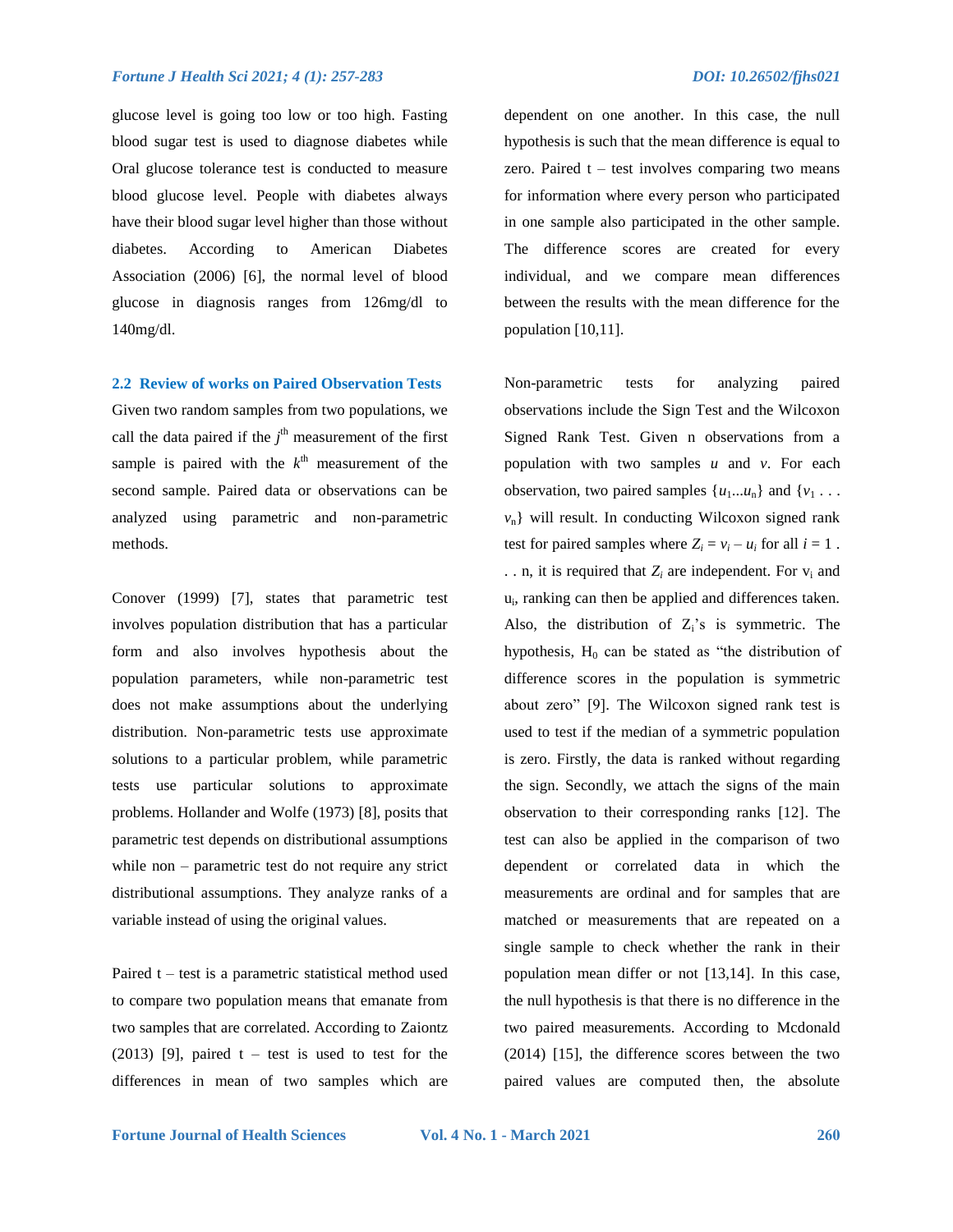glucose level is going too low or too high. Fasting blood sugar test is used to diagnose diabetes while Oral glucose tolerance test is conducted to measure blood glucose level. People with diabetes always have their blood sugar level higher than those without diabetes. According to American Diabetes Association (2006) [6], the normal level of blood glucose in diagnosis ranges from 126mg/dl to 140mg/dl.

**2.2 Review of works on Paired Observation Tests** 

Given two random samples from two populations, we call the data paired if the  $j<sup>th</sup>$  measurement of the first sample is paired with the  $k^{\text{th}}$  measurement of the second sample. Paired data or observations can be analyzed using parametric and non-parametric methods.

Conover (1999) [7], states that parametric test involves population distribution that has a particular form and also involves hypothesis about the population parameters, while non-parametric test does not make assumptions about the underlying distribution. Non-parametric tests use approximate solutions to a particular problem, while parametric tests use particular solutions to approximate problems. Hollander and Wolfe (1973) [8], posits that parametric test depends on distributional assumptions while non – parametric test do not require any strict distributional assumptions. They analyze ranks of a variable instead of using the original values.

Paired  $t - test$  is a parametric statistical method used to compare two population means that emanate from two samples that are correlated. According to Zaiontz  $(2013)$  [9], paired t – test is used to test for the differences in mean of two samples which are dependent on one another. In this case, the null hypothesis is such that the mean difference is equal to zero. Paired  $t - test$  involves comparing two means for information where every person who participated in one sample also participated in the other sample. The difference scores are created for every individual, and we compare mean differences between the results with the mean difference for the population [10,11].

Non-parametric tests for analyzing paired observations include the Sign Test and the Wilcoxon Signed Rank Test. Given n observations from a population with two samples *u* and *v*. For each observation, two paired samples  $\{u_1...u_n\}$  and  $\{v_1...v_n\}$ *v*n} will result. In conducting Wilcoxon signed rank test for paired samples where  $Z_i = v_i - u_i$  for all  $i = 1$ . . . n, it is required that  $Z_i$  are independent. For  $v_i$  and ui, ranking can then be applied and differences taken. Also, the distribution of  $Z_i$ 's is symmetric. The hypothesis,  $H_0$  can be stated as "the distribution of difference scores in the population is symmetric about zero" [9]. The Wilcoxon signed rank test is used to test if the median of a symmetric population is zero. Firstly, the data is ranked without regarding the sign. Secondly, we attach the signs of the main observation to their corresponding ranks [12]. The test can also be applied in the comparison of two dependent or correlated data in which the measurements are ordinal and for samples that are matched or measurements that are repeated on a single sample to check whether the rank in their population mean differ or not [13,14]. In this case, the null hypothesis is that there is no difference in the two paired measurements. According to Mcdonald (2014) [15], the difference scores between the two paired values are computed then, the absolute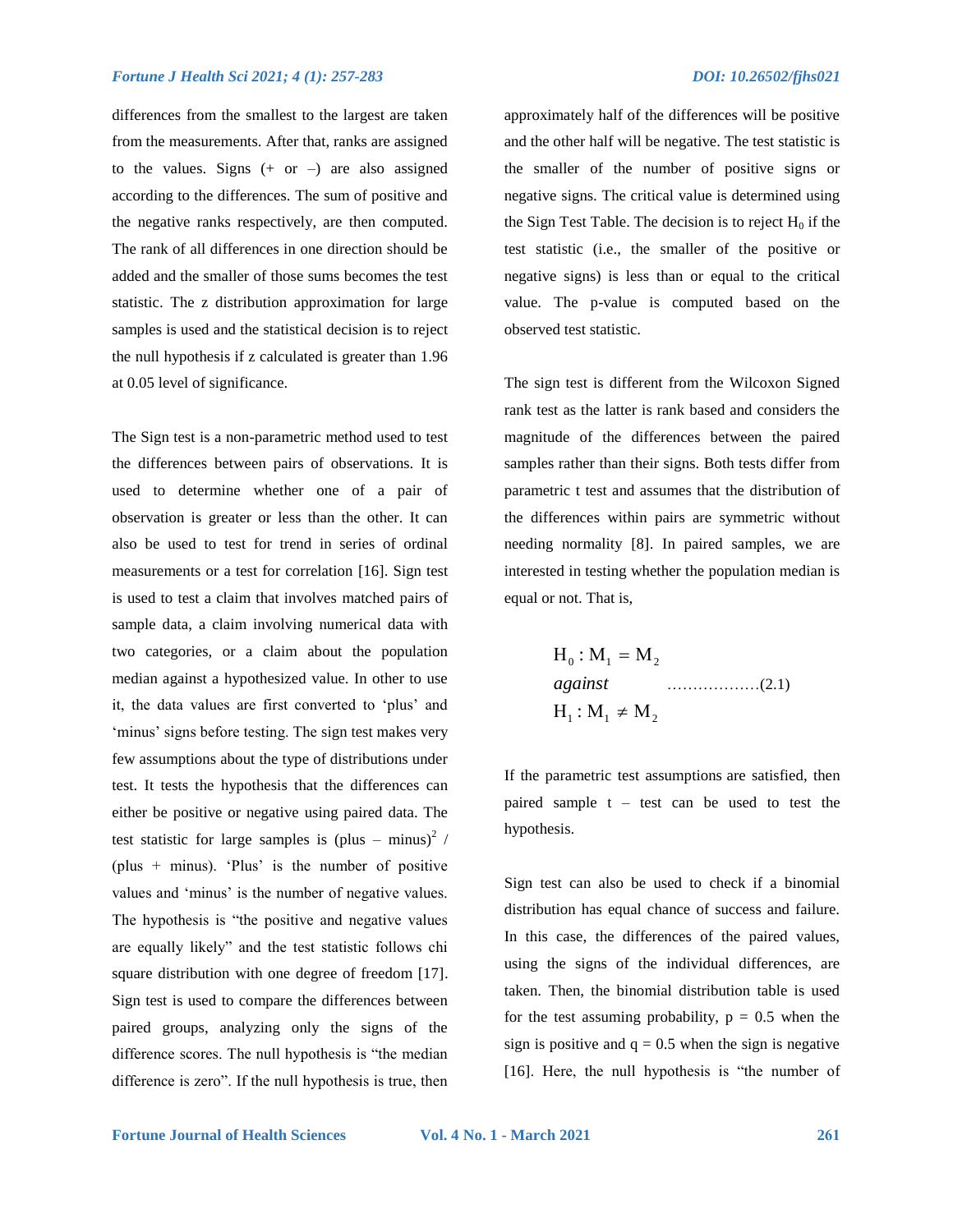differences from the smallest to the largest are taken from the measurements. After that, ranks are assigned to the values. Signs  $(+ or -)$  are also assigned according to the differences. The sum of positive and the negative ranks respectively, are then computed. The rank of all differences in one direction should be added and the smaller of those sums becomes the test statistic. The z distribution approximation for large samples is used and the statistical decision is to reject the null hypothesis if z calculated is greater than 1.96 at 0.05 level of significance.

The Sign test is a non-parametric method used to test the differences between pairs of observations. It is used to determine whether one of a pair of observation is greater or less than the other. It can also be used to test for trend in series of ordinal measurements or a test for correlation [16]. Sign test is used to test a claim that involves matched pairs of sample data, a claim involving numerical data with two categories, or a claim about the population median against a hypothesized value. In other to use it, the data values are first converted to "plus" and 'minus' signs before testing. The sign test makes very few assumptions about the type of distributions under test. It tests the hypothesis that the differences can either be positive or negative using paired data. The test statistic for large samples is  $(plus - minus)^2$  / (plus  $+$  minus). 'Plus' is the number of positive values and 'minus' is the number of negative values. The hypothesis is "the positive and negative values are equally likely" and the test statistic follows chi square distribution with one degree of freedom [17]. Sign test is used to compare the differences between paired groups, analyzing only the signs of the difference scores. The null hypothesis is "the median difference is zero". If the null hypothesis is true, then

approximately half of the differences will be positive and the other half will be negative. The test statistic is the smaller of the number of positive signs or negative signs. The critical value is determined using the Sign Test Table. The decision is to reject  $H_0$  if the test statistic (i.e., the smaller of the positive or negative signs) is less than or equal to the critical value. The p-value is computed based on the observed test statistic.

The sign test is different from the Wilcoxon Signed rank test as the latter is rank based and considers the magnitude of the differences between the paired samples rather than their signs. Both tests differ from parametric t test and assumes that the distribution of the differences within pairs are symmetric without needing normality [8]. In paired samples, we are interested in testing whether the population median is equal or not. That is,

$$
H_0: M_1 = M_2
$$
  
against  
 $H_1: M_1 \neq M_2$  (2.1)

If the parametric test assumptions are satisfied, then paired sample  $t - test$  can be used to test the hypothesis.

Sign test can also be used to check if a binomial distribution has equal chance of success and failure. In this case, the differences of the paired values, using the signs of the individual differences, are taken. Then, the binomial distribution table is used for the test assuming probability,  $p = 0.5$  when the sign is positive and  $q = 0.5$  when the sign is negative [16]. Here, the null hypothesis is "the number of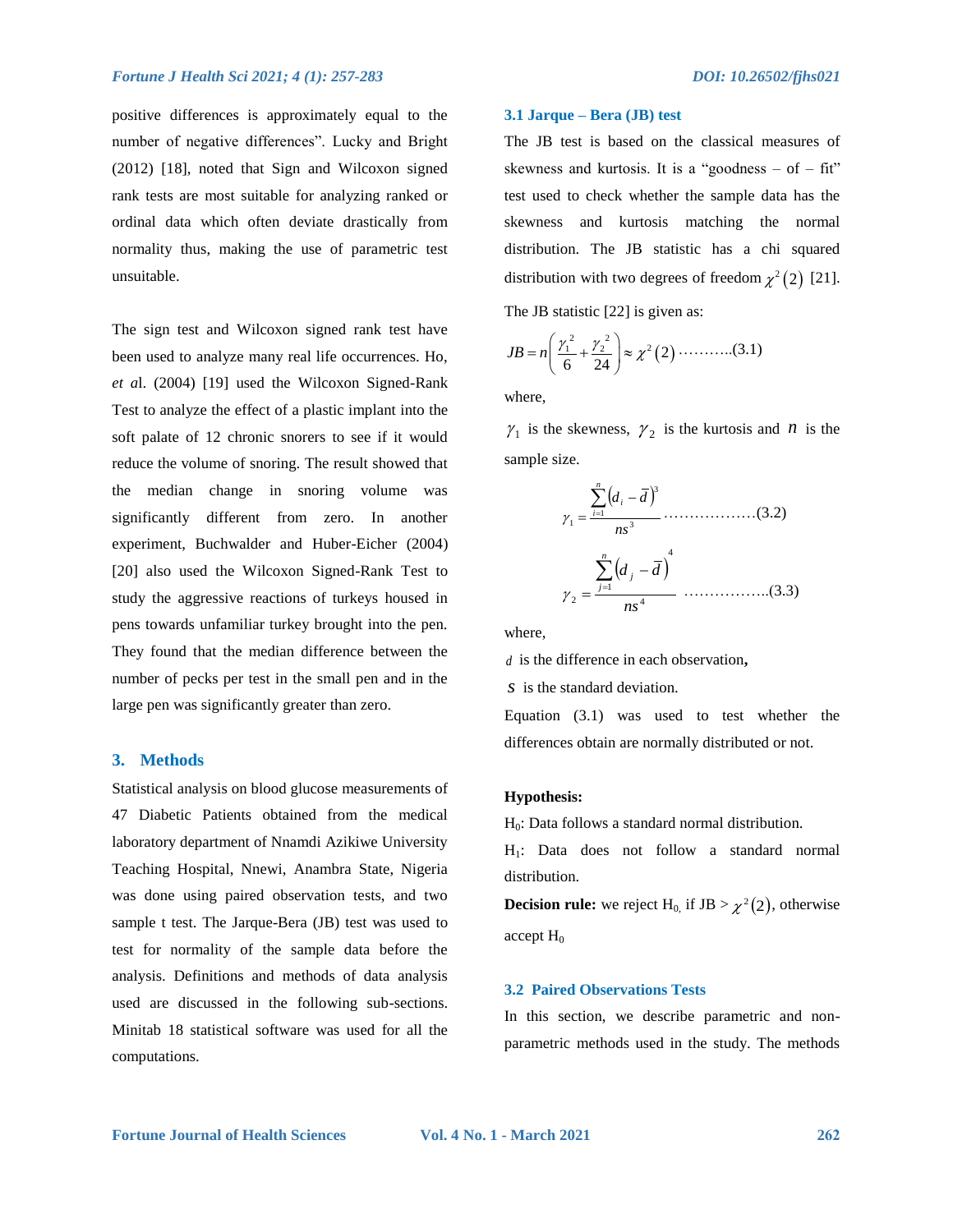positive differences is approximately equal to the number of negative differences". Lucky and Bright (2012) [18], noted that Sign and Wilcoxon signed rank tests are most suitable for analyzing ranked or ordinal data which often deviate drastically from normality thus, making the use of parametric test unsuitable.

The sign test and Wilcoxon signed rank test have been used to analyze many real life occurrences. Ho, *et a*l. (2004) [19] used the Wilcoxon Signed-Rank Test to analyze the effect of a plastic implant into the soft palate of 12 chronic snorers to see if it would reduce the volume of snoring. The result showed that the median change in snoring volume was significantly different from zero. In another experiment, Buchwalder and Huber-Eicher (2004) [20] also used the Wilcoxon Signed-Rank Test to study the aggressive reactions of turkeys housed in pens towards unfamiliar turkey brought into the pen. They found that the median difference between the number of pecks per test in the small pen and in the large pen was significantly greater than zero.

#### **3. Methods**

Statistical analysis on blood glucose measurements of 47 Diabetic Patients obtained from the medical laboratory department of Nnamdi Azikiwe University Teaching Hospital, Nnewi, Anambra State, Nigeria was done using paired observation tests, and two sample t test. The Jarque-Bera (JB) test was used to test for normality of the sample data before the analysis. Definitions and methods of data analysis used are discussed in the following sub-sections. Minitab 18 statistical software was used for all the computations.

#### **3.1 Jarque – Bera (JB) test**

The JB test is based on the classical measures of skewness and kurtosis. It is a "goodness  $-$  of  $-$  fit" test used to check whether the sample data has the skewness and kurtosis matching the normal distribution. The JB statistic has a chi squared distribution with two degrees of freedom  $\chi^2(2)$  [21].

The JB statistic [22] is given as:

$$
JB = n\left(\frac{\gamma_1^2}{6} + \frac{\gamma_2^2}{24}\right) \approx \chi^2(2) \cdots \cdots \cdots (3.1)
$$

where,

 $\gamma_1$  is the skewness,  $\gamma_2$  is the kurtosis and *n* is the sample size.

$$
\gamma_1 = \frac{\sum_{i=1}^{n} (d_i - \bar{d})^3}{ns^3} \dots (3.2)
$$
  

$$
\gamma_2 = \frac{\sum_{j=1}^{n} (d_j - \bar{d})^4}{ns^4} \dots (3.3)
$$

where,

*d* is the difference in each observation**,** 

*s* is the standard deviation.

Equation (3.1) was used to test whether the differences obtain are normally distributed or not.

#### **Hypothesis:**

 $H<sub>0</sub>$ : Data follows a standard normal distribution.

H1: Data does not follow a standard normal distribution.

**Decision rule:** we reject H<sub>0</sub>, if JB  $>\chi^2(2)$ , otherwise accept  $H_0$ 

#### **3.2 Paired Observations Tests**

In this section, we describe parametric and nonparametric methods used in the study. The methods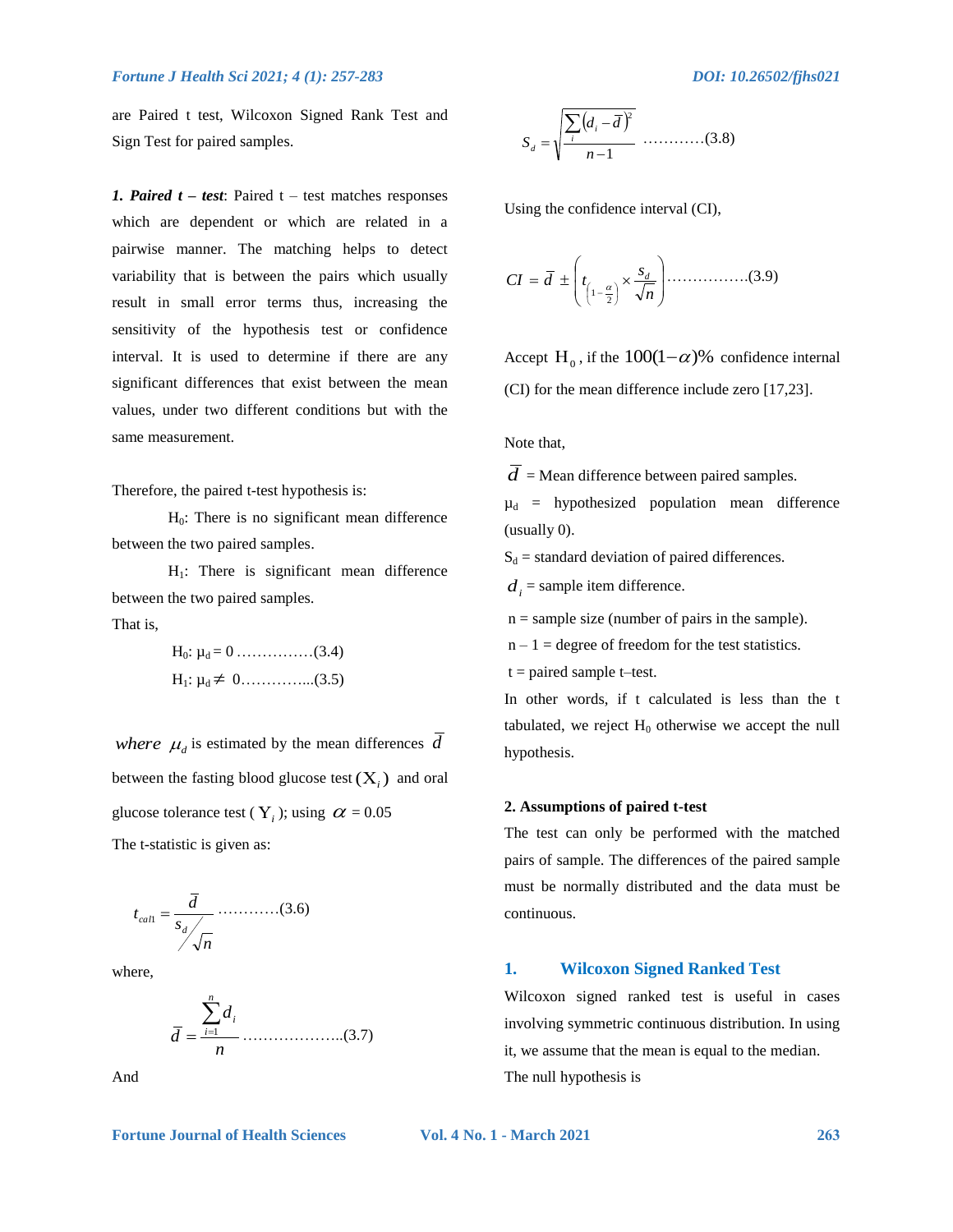are Paired t test, Wilcoxon Signed Rank Test and Sign Test for paired samples.

*1. Paired t – test*: Paired t – test matches responses which are dependent or which are related in a pairwise manner. The matching helps to detect variability that is between the pairs which usually result in small error terms thus, increasing the sensitivity of the hypothesis test or confidence interval. It is used to determine if there are any significant differences that exist between the mean values, under two different conditions but with the same measurement.

Therefore, the paired t-test hypothesis is:

 $H<sub>0</sub>$ : There is no significant mean difference between the two paired samples.

 $H_1$ : There is significant mean difference between the two paired samples.

That is,

H<sub>0</sub>: 
$$
\mu_d = 0
$$
............(3.4)  
H<sub>1</sub>:  $\mu_d \neq 0$ .............(3.5)

*where*  $\mu_d$  is estimated by the mean differences  $d$ between the fasting blood glucose test  $(X_i)$  and oral glucose tolerance test ( $Y_i$ ); using  $\alpha = 0.05$ The t-statistic is given as:

$$
t_{call} = \frac{\overline{d}}{s_d / \sqrt{n}} \dots \dots \dots \dots (3.6)
$$

where,



And



Using the confidence interval (CI),

 *n s CI d t d* 2 1 …………….(3.9)

Accept H<sub>0</sub>, if the  $100(1-\alpha)$ % confidence internal (CI) for the mean difference include zero [17,23].

Note that,

 $\overline{d}$  = Mean difference between paired samples.

 $\mu_d$  = hypothesized population mean difference (usually 0).

 $S_d$  = standard deviation of paired differences.

 $d_i$  = sample item difference.

 $n =$  sample size (number of pairs in the sample).

 $n - 1$  = degree of freedom for the test statistics.  $t =$  paired sample t–test.

In other words, if t calculated is less than the t tabulated, we reject  $H_0$  otherwise we accept the null hypothesis.

#### **2. Assumptions of paired t-test**

The test can only be performed with the matched pairs of sample. The differences of the paired sample must be normally distributed and the data must be continuous.

#### **1. Wilcoxon Signed Ranked Test**

Wilcoxon signed ranked test is useful in cases involving symmetric continuous distribution. In using it, we assume that the mean is equal to the median. The null hypothesis is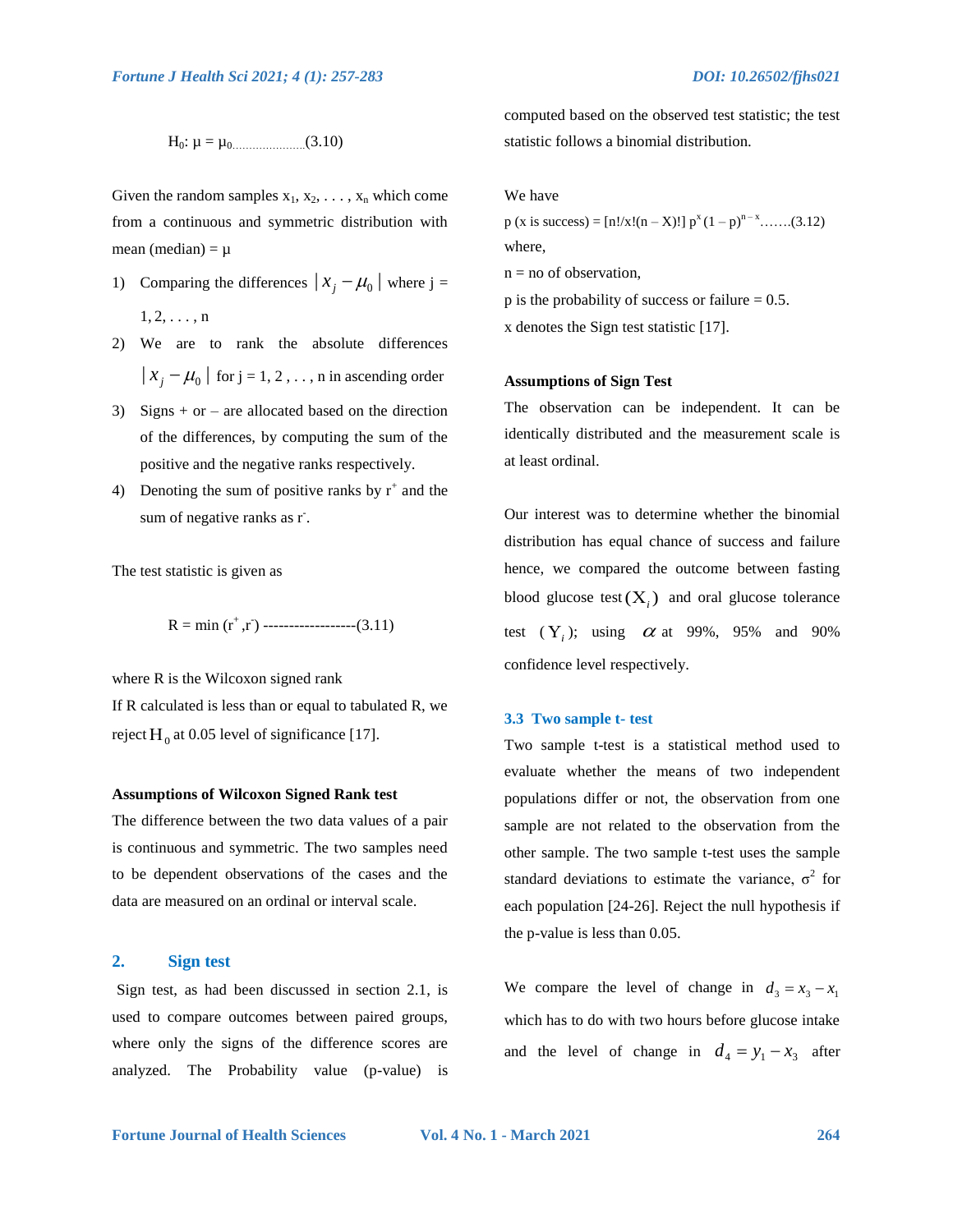H0: µ = µ0………………….(3.10)

Given the random samples  $x_1, x_2, \ldots, x_n$  which come from a continuous and symmetric distribution with mean (median) =  $\mu$ 

- 1) Comparing the differences  $|x_j \mu_0|$  where j =  $1, 2, \ldots, n$
- 2) We are to rank the absolute differences  $|x_j - \mu_0|$  for  $j = 1, 2, \ldots$ , n in ascending order
- 3) Signs  $+$  or  $-$  are allocated based on the direction of the differences, by computing the sum of the positive and the negative ranks respectively.
- 4) Denoting the sum of positive ranks by  $r^+$  and the sum of negative ranks as r<sup>-</sup>.

The test statistic is given as

R = min (r+ ,r- ) ------------------(3.11)

where R is the Wilcoxon signed rank

If R calculated is less than or equal to tabulated R, we reject  $H_0$  at 0.05 level of significance [17].

#### **Assumptions of Wilcoxon Signed Rank test**

The difference between the two data values of a pair is continuous and symmetric. The two samples need to be dependent observations of the cases and the data are measured on an ordinal or interval scale.

#### **2. Sign test**

Sign test, as had been discussed in section 2.1, is used to compare outcomes between paired groups, where only the signs of the difference scores are analyzed. The Probability value (p-value) is computed based on the observed test statistic; the test statistic follows a binomial distribution.

We have

 $p$  (x is success) = [n!/x!(n – X)!]  $p^{x}(1-p)^{n-x}$ ......(3.12) where,

- $n = no$  of observation,
- $p$  is the probability of success or failure = 0.5.

x denotes the Sign test statistic [17].

#### **Assumptions of Sign Test**

The observation can be independent. It can be identically distributed and the measurement scale is at least ordinal.

Our interest was to determine whether the binomial distribution has equal chance of success and failure hence, we compared the outcome between fasting blood glucose test  $(X_i)$  and oral glucose tolerance test  $(Y_i)$ ; using  $\alpha$  at 99%, 95% and 90% confidence level respectively.

#### **3.3 Two sample t- test**

Two sample t-test is a statistical method used to evaluate whether the means of two independent populations differ or not, the observation from one sample are not related to the observation from the other sample. The two sample t-test uses the sample standard deviations to estimate the variance,  $\sigma^2$  for each population [24-26]. Reject the null hypothesis if the p-value is less than 0.05.

We compare the level of change in  $d_3 = x_3 - x_1$ which has to do with two hours before glucose intake and the level of change in  $d_4 = y_1 - x_3$  after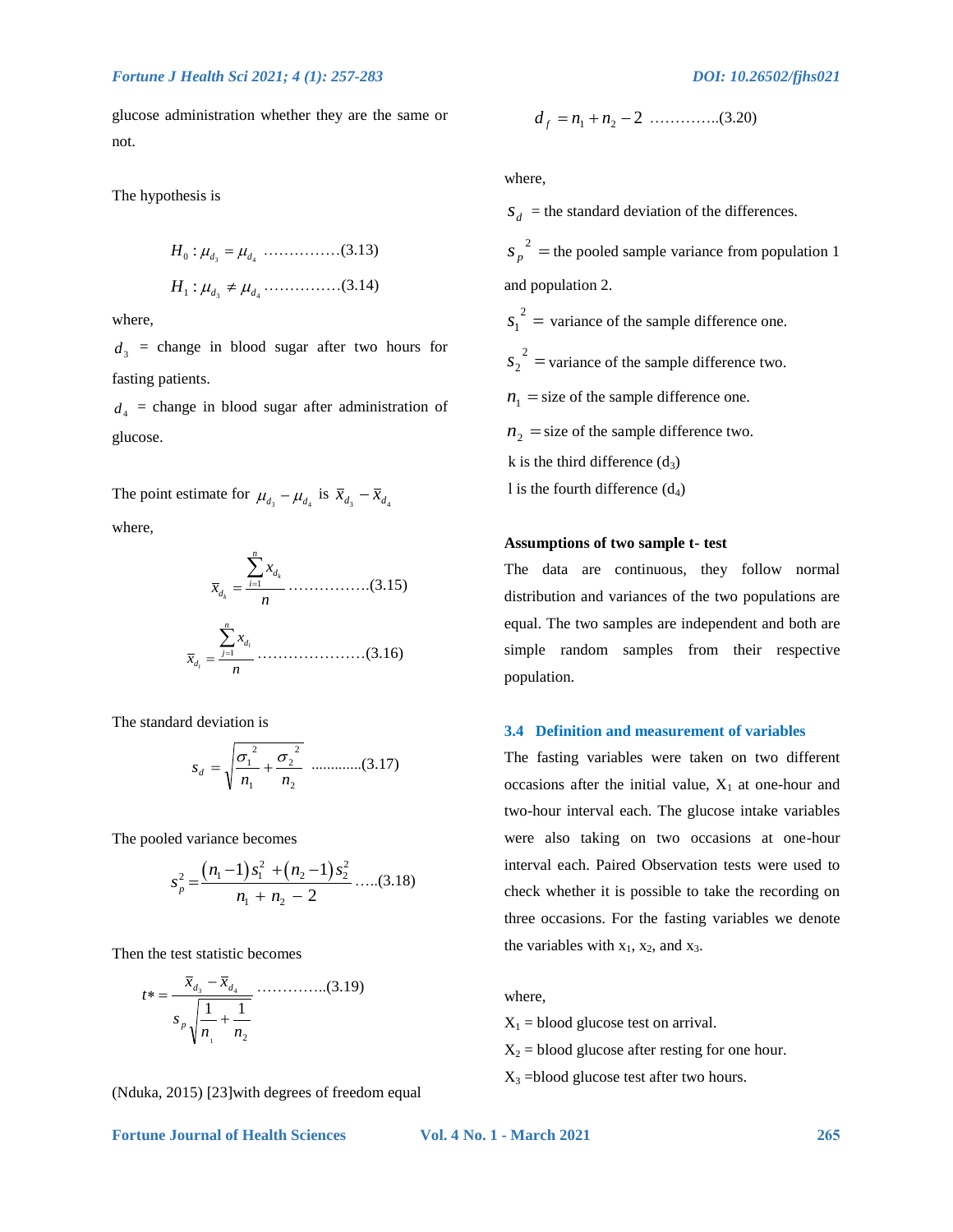glucose administration whether they are the same or not.

The hypothesis is

3 4 : *H*<sup>0</sup> *<sup>d</sup> <sup>d</sup>* ……………(3.13) 3 4 : *H*<sup>1</sup> *<sup>d</sup> <sup>d</sup>* ……………(3.14)

where,

 $d_3$  = change in blood sugar after two hours for fasting patients.

 $d_4$  = change in blood sugar after administration of glucose.

The point estimate for  $\mu_{d_3} - \mu_{d_4}$  is  $\bar{x}_{d_3} - \bar{x}_{d_4}$ where,

1 *k k n d i d x x n* …………….(3.15) 1 *l l n d j d x x n* …………………(3.16)

The standard deviation is

$$
s_d = \sqrt{\frac{{\sigma_1}^2}{n_1} + \frac{{\sigma_2}^2}{n_2}}
$$
............(3.17)

The pooled variance becomes

$$
s_p^2 = \frac{(n_1 - 1)s_1^2 + (n_2 - 1)s_2^2}{n_1 + n_2 - 2} \dots (3.18)
$$

Then the test statistic becomes

2 1 1 1 *n n* 3 4 *s x x t p d d* …………..(3.19)

(Nduka, 2015) [23]with degrees of freedom equal

$$
f_{\rm{max}}
$$

where,

 $S_d$  = the standard deviation of the differences.  $2 =$  $s_p^2$  = the pooled sample variance from population 1 and population 2.  $2 =$  $s_1^2$  = variance of the sample difference one.  $2 =$  $s_2^2$  = variance of the sample difference two.  $n_1$  = size of the sample difference one.  $n_2$  = size of the sample difference two. k is the third difference  $(d_3)$ l is the fourth difference  $(d_4)$ 

2 *d <sup>f</sup> n*<sup>1</sup> *n*<sup>2</sup> …………..(3.20)

#### **Assumptions of two sample t- test**

The data are continuous, they follow normal distribution and variances of the two populations are equal. The two samples are independent and both are simple random samples from their respective population.

#### **3.4 Definition and measurement of variables**

The fasting variables were taken on two different occasions after the initial value,  $X_1$  at one-hour and two-hour interval each. The glucose intake variables were also taking on two occasions at one-hour interval each. Paired Observation tests were used to check whether it is possible to take the recording on three occasions. For the fasting variables we denote the variables with  $x_1$ ,  $x_2$ , and  $x_3$ .

#### where,

 $X_1$  = blood glucose test on arrival.

 $X_2$  = blood glucose after resting for one hour.

 $X_3$  =blood glucose test after two hours.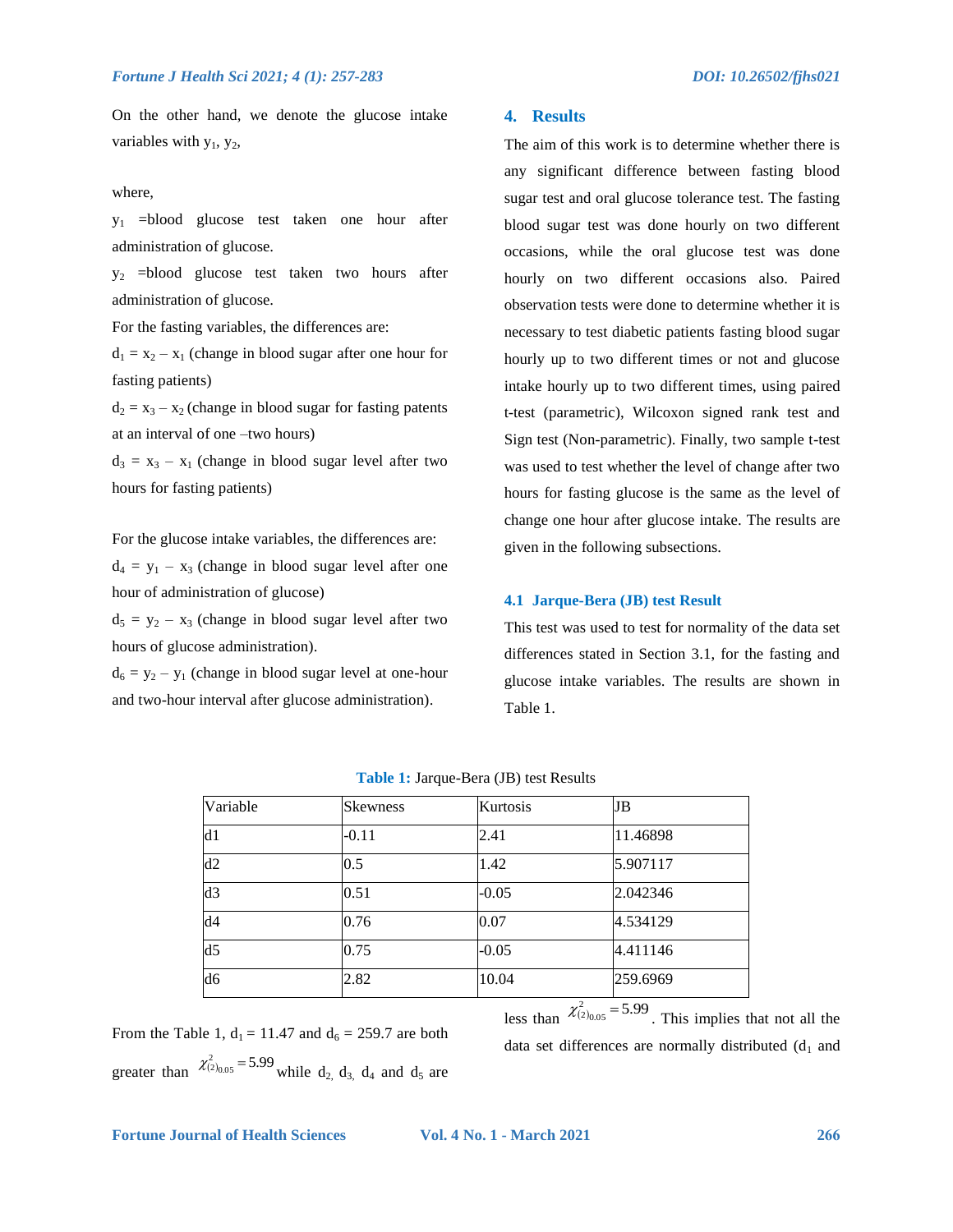On the other hand, we denote the glucose intake variables with  $y_1$ ,  $y_2$ ,

#### where,

y1 =blood glucose test taken one hour after administration of glucose.

y2 =blood glucose test taken two hours after administration of glucose.

For the fasting variables, the differences are:

 $d_1 = x_2 - x_1$  (change in blood sugar after one hour for fasting patients)

 $d_2 = x_3 - x_2$  (change in blood sugar for fasting patents at an interval of one –two hours)

 $d_3 = x_3 - x_1$  (change in blood sugar level after two hours for fasting patients)

For the glucose intake variables, the differences are:

 $d_4 = y_1 - x_3$  (change in blood sugar level after one hour of administration of glucose)

 $d_5 = y_2 - x_3$  (change in blood sugar level after two hours of glucose administration).

 $d_6 = y_2 - y_1$  (change in blood sugar level at one-hour and two-hour interval after glucose administration).

#### **4. Results**

The aim of this work is to determine whether there is any significant difference between fasting blood sugar test and oral glucose tolerance test. The fasting blood sugar test was done hourly on two different occasions, while the oral glucose test was done hourly on two different occasions also. Paired observation tests were done to determine whether it is necessary to test diabetic patients fasting blood sugar hourly up to two different times or not and glucose intake hourly up to two different times, using paired t-test (parametric), Wilcoxon signed rank test and Sign test (Non-parametric). Finally, two sample t-test was used to test whether the level of change after two hours for fasting glucose is the same as the level of change one hour after glucose intake. The results are given in the following subsections.

#### **4.1 Jarque-Bera (JB) test Result**

This test was used to test for normality of the data set differences stated in Section 3.1, for the fasting and glucose intake variables. The results are shown in Table 1.

| Variable       | <b>Skewness</b> | Kurtosis | JB                                       |
|----------------|-----------------|----------|------------------------------------------|
| d1             | $-0.11$         | 2.41     | 11.46898                                 |
| d2             | 0.5             | 1.42     | 5.907117                                 |
| d3             | 0.51            | $-0.05$  | 2.042346                                 |
| d4             | 0.76            | 0.07     | 4.534129                                 |
| d <sub>5</sub> | 0.75            | $-0.05$  | 4.411146                                 |
| d6             | 2.82            | 10.04    | 259.6969                                 |
|                |                 |          | $\ldots$ <sup>2</sup><br>$F \cap \Omega$ |

less than  $\chi^2_{(2)_{0.05}}$  = 5.99. This implies that not all the

From the Table 1,  $d_1 = 11.47$  and  $d_6 = 259.7$  are both greater than  $\chi^2_{(2)_{0.05}}$  = 5.99 while d<sub>2</sub>, d<sub>3</sub>, d<sub>4</sub> and d<sub>5</sub> are

data set differences are normally distributed  $(d_1$  and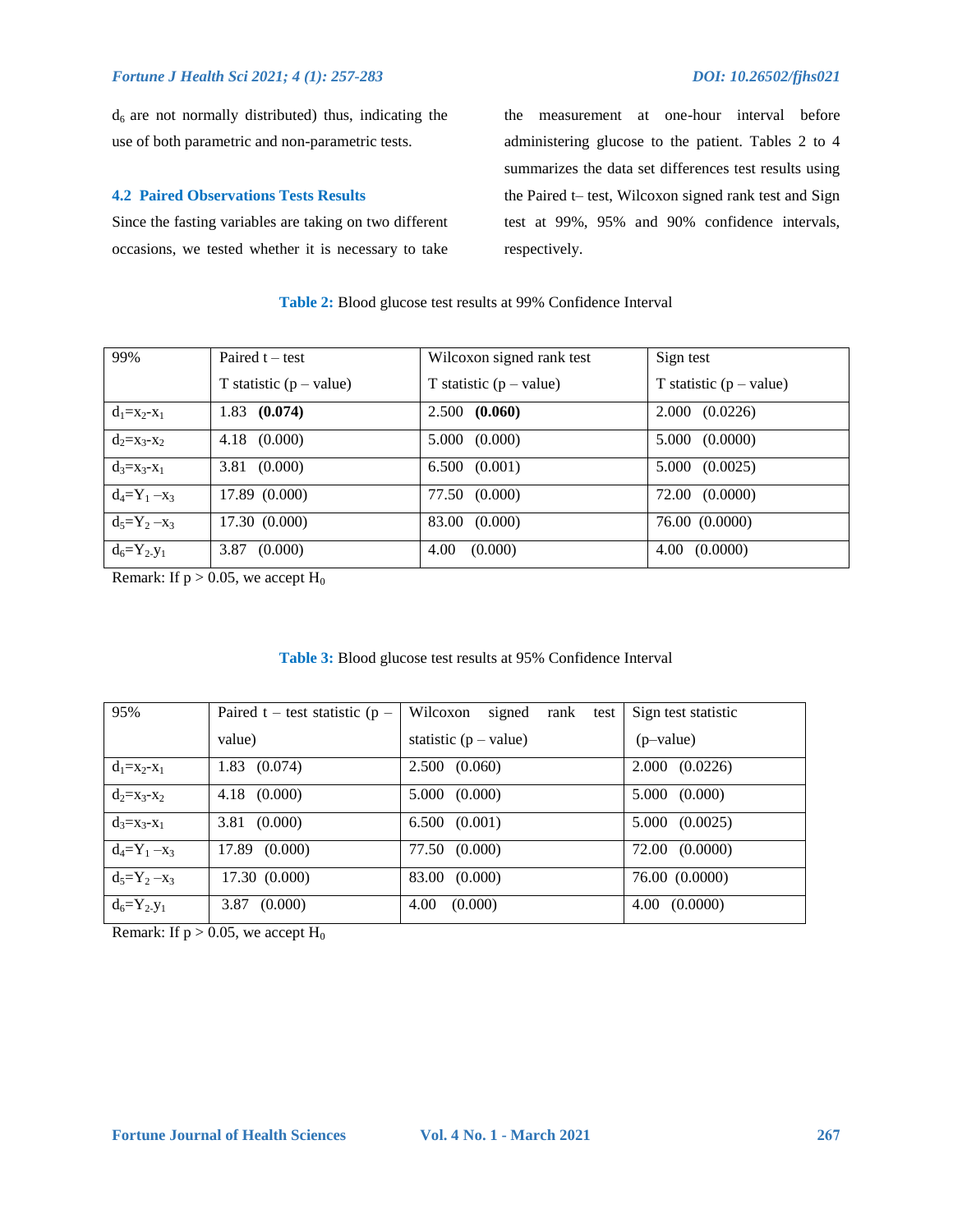$d<sub>6</sub>$  are not normally distributed) thus, indicating the use of both parametric and non-parametric tests.

#### **4.2 Paired Observations Tests Results**

Since the fasting variables are taking on two different occasions, we tested whether it is necessary to take the measurement at one-hour interval before administering glucose to the patient. Tables 2 to 4 summarizes the data set differences test results using the Paired t– test, Wilcoxon signed rank test and Sign test at 99%, 95% and 90% confidence intervals, respectively.

#### **Table 2:** Blood glucose test results at 99% Confidence Interval

| 99%               | Paired $t - test$         | Wilcoxon signed rank test | Sign test                 |
|-------------------|---------------------------|---------------------------|---------------------------|
|                   | T statistic $(p - value)$ | T statistic $(p - value)$ | T statistic $(p - value)$ |
| $d_1 = x_2 - x_1$ | $1.83$ (0.074)            | 2.500(0.060)              | (0.0226)<br>2.000         |
| $d_2 = x_3 - x_2$ | $4.18$ $(0.000)$          | 5.000 (0.000)             | 5.000(0.0000)             |
| $d_3 = x_3 - x_1$ | 3.81 (0.000)              | $6.500$ $(0.001)$         | 5.000(0.0025)             |
| $d_4 = Y_1 - x_3$ | 17.89 (0.000)             | 77.50 (0.000)             | 72.00 (0.0000)            |
| $d_5 = Y_2 - x_3$ | 17.30 (0.000)             | 83.00 (0.000)             | 76.00 (0.0000)            |
| $d_6 = Y_2 - Y_1$ | $3.87$ $(0.000)$          | 4.00<br>(0.000)           | $4.00\quad(0.0000)$       |

Remark: If  $p > 0.05$ , we accept  $H_0$ 

### **Table 3:** Blood glucose test results at 95% Confidence Interval

| 95%               | Paired t – test statistic ( $p -$ | signed<br>Wilcoxon<br>rank test | Sign test statistic |
|-------------------|-----------------------------------|---------------------------------|---------------------|
|                   | value)                            | statistic $(p - value)$         | (p-value)           |
| $d_1 = x_2 - x_1$ | $1.83 \quad (0.074)$              | 2.500(0.060)                    | 2.000(0.0226)       |
| $d_2 = x_3 - x_2$ | $4.18$ $(0.000)$                  | 5.000(0.000)                    | 5.000 (0.000)       |
| $d_3 = x_3 - x_1$ | $3.81$ $(0.000)$                  | 6.500(0.001)                    | 5.000 (0.0025)      |
| $d_4 = Y_1 - x_3$ | 17.89 (0.000)                     | 77.50 (0.000)                   | 72.00 (0.0000)      |
| $d_5 = Y_2 - x_3$ | 17.30 (0.000)                     | 83.00 (0.000)                   | 76.00 (0.0000)      |
| $d_6 = Y_2 - Y_1$ | $3.87$ $(0.000)$                  | 4.00<br>(0.000)                 | $4.00\quad(0.0000)$ |

Remark: If  $p > 0.05$ , we accept  $H_0$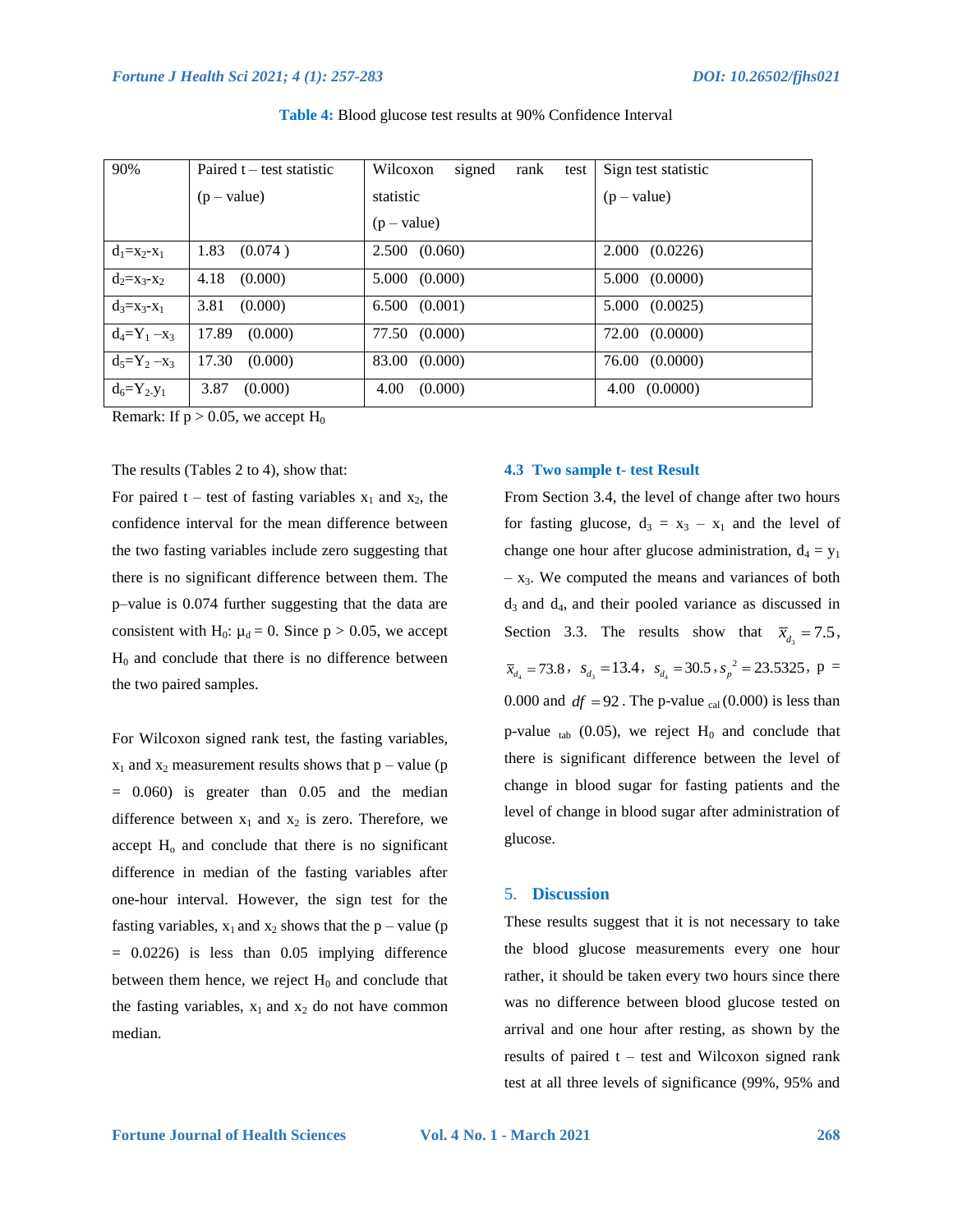| 90%               | Paired $t - test statistic$ | signed<br>Wilcoxon<br>rank<br>test | Sign test statistic |
|-------------------|-----------------------------|------------------------------------|---------------------|
|                   | $(p - value)$               | statistic                          | $(p - value)$       |
|                   |                             | $(p - value)$                      |                     |
| $d_1 = x_2 - x_1$ | 1.83<br>(0.074)             | 2.500(0.060)                       | 2.000(0.0226)       |
| $d_2 = X_3 - X_2$ | 4.18<br>(0.000)             | 5.000 (0.000)                      | 5.000 (0.0000)      |
| $d_3 = X_3 - X_1$ | 3.81<br>(0.000)             | 6.500(0.001)                       | 5.000 (0.0025)      |
| $d_4 = Y_1 - x_3$ | 17.89<br>(0.000)            | 77.50 (0.000)                      | 72.00 (0.0000)      |
| $d_5 = Y_2 - x_3$ | 17.30<br>(0.000)            | 83.00 (0.000)                      | 76.00 (0.0000)      |
| $d_6 = Y_2 - Y_1$ | 3.87<br>(0.000)             | 4.00<br>(0.000)                    | $4.00\quad(0.0000)$ |

#### **Table 4:** Blood glucose test results at 90% Confidence Interval

Remark: If  $p > 0.05$ , we accept H<sub>0</sub>

#### The results (Tables 2 to 4), show that:

For paired t – test of fasting variables  $x_1$  and  $x_2$ , the confidence interval for the mean difference between the two fasting variables include zero suggesting that there is no significant difference between them. The p–value is 0.074 further suggesting that the data are consistent with H<sub>0</sub>:  $\mu_d = 0$ . Since p > 0.05, we accept  $H<sub>0</sub>$  and conclude that there is no difference between the two paired samples.

For Wilcoxon signed rank test, the fasting variables,  $x_1$  and  $x_2$  measurement results shows that  $p$  – value (p  $= 0.060$  is greater than 0.05 and the median difference between  $x_1$  and  $x_2$  is zero. Therefore, we accept  $H<sub>o</sub>$  and conclude that there is no significant difference in median of the fasting variables after one-hour interval. However, the sign test for the fasting variables,  $x_1$  and  $x_2$  shows that the p – value (p  $= 0.0226$ ) is less than 0.05 implying difference between them hence, we reject  $H_0$  and conclude that the fasting variables,  $x_1$  and  $x_2$  do not have common median.

### **4.3 Two sample t- test Result**

From Section 3.4, the level of change after two hours for fasting glucose,  $d_3 = x_3 - x_1$  and the level of change one hour after glucose administration,  $d_4 = y_1$  $- x_3$ . We computed the means and variances of both  $d_3$  and  $d_4$ , and their pooled variance as discussed in Section 3.3. The results show that  $\bar{x}_{d_3} = 7.5$ ,  $\bar{x}_{d_4} = 73.8$ ,  $s_{d_3} = 13.4$ ,  $s_{d_4} = 30.5$ ,  $s_p^2 = 23.5325$ ,  $p =$ 0.000 and  $df = 92$ . The p-value <sub>cal</sub> (0.000) is less than p-value  $_{tab}$  (0.05), we reject  $H_0$  and conclude that there is significant difference between the level of change in blood sugar for fasting patients and the level of change in blood sugar after administration of glucose.

#### 5. **Discussion**

These results suggest that it is not necessary to take the blood glucose measurements every one hour rather, it should be taken every two hours since there was no difference between blood glucose tested on arrival and one hour after resting, as shown by the results of paired  $t - test$  and Wilcoxon signed rank test at all three levels of significance (99%, 95% and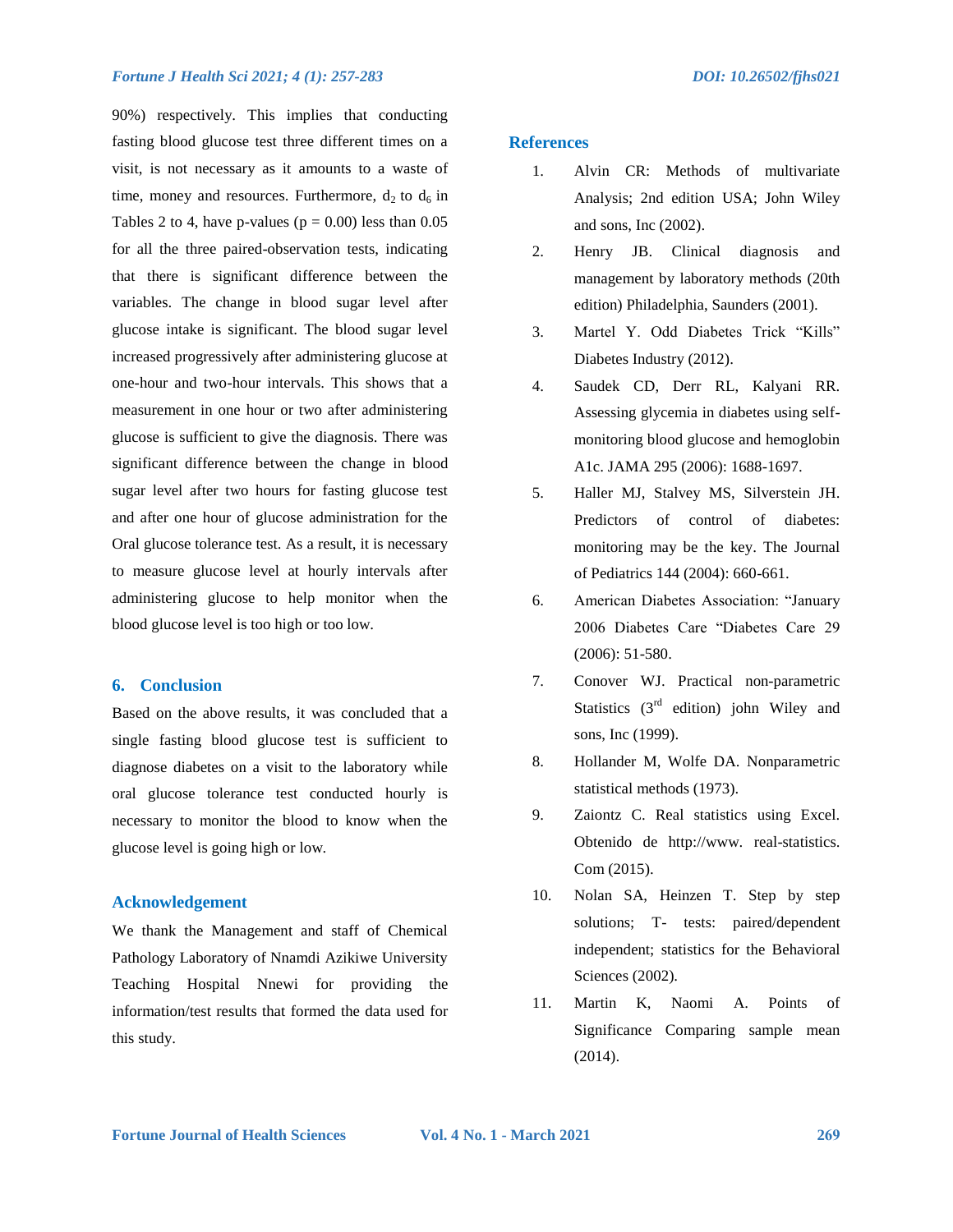90%) respectively. This implies that conducting fasting blood glucose test three different times on a visit, is not necessary as it amounts to a waste of time, money and resources. Furthermore,  $d_2$  to  $d_6$  in Tables 2 to 4, have p-values ( $p = 0.00$ ) less than 0.05 for all the three paired-observation tests, indicating that there is significant difference between the variables. The change in blood sugar level after glucose intake is significant. The blood sugar level increased progressively after administering glucose at one-hour and two-hour intervals. This shows that a measurement in one hour or two after administering glucose is sufficient to give the diagnosis. There was significant difference between the change in blood sugar level after two hours for fasting glucose test and after one hour of glucose administration for the Oral glucose tolerance test. As a result, it is necessary to measure glucose level at hourly intervals after administering glucose to help monitor when the blood glucose level is too high or too low.

### **6. Conclusion**

Based on the above results, it was concluded that a single fasting blood glucose test is sufficient to diagnose diabetes on a visit to the laboratory while oral glucose tolerance test conducted hourly is necessary to monitor the blood to know when the glucose level is going high or low.

#### **Acknowledgement**

We thank the Management and staff of Chemical Pathology Laboratory of Nnamdi Azikiwe University Teaching Hospital Nnewi for providing the information/test results that formed the data used for this study.

#### **References**

- 1. Alvin CR: Methods of multivariate Analysis; 2nd edition USA; John Wiley and sons, Inc (2002).
- 2. Henry JB. Clinical diagnosis and management by laboratory methods (20th edition) Philadelphia, Saunders (2001).
- 3. Martel Y. Odd Diabetes Trick "Kills" Diabetes Industry (2012).
- 4. Saudek CD, Derr RL, Kalyani RR. Assessing glycemia in diabetes using selfmonitoring blood glucose and hemoglobin A1c. JAMA 295 (2006): 1688-1697.
- 5. Haller MJ, Stalvey MS, Silverstein JH. Predictors of control of diabetes: monitoring may be the key. The Journal of Pediatrics 144 (2004): 660-661.
- 6. American Diabetes Association: "January 2006 Diabetes Care "Diabetes Care 29 (2006): 51-580.
- 7. Conover WJ. Practical non-parametric Statistics  $(3<sup>rd</sup>$  edition) john Wiley and sons, Inc (1999).
- 8. Hollander M, Wolfe DA. Nonparametric statistical methods (1973).
- 9. Zaiontz C. Real statistics using Excel. Obtenido de http://www. real-statistics. Com (2015).
- 10. Nolan SA, Heinzen T. Step by step solutions; T- tests: paired/dependent independent; statistics for the Behavioral Sciences (2002).
- 11. Martin K, Naomi A. Points of Significance Comparing sample mean (2014).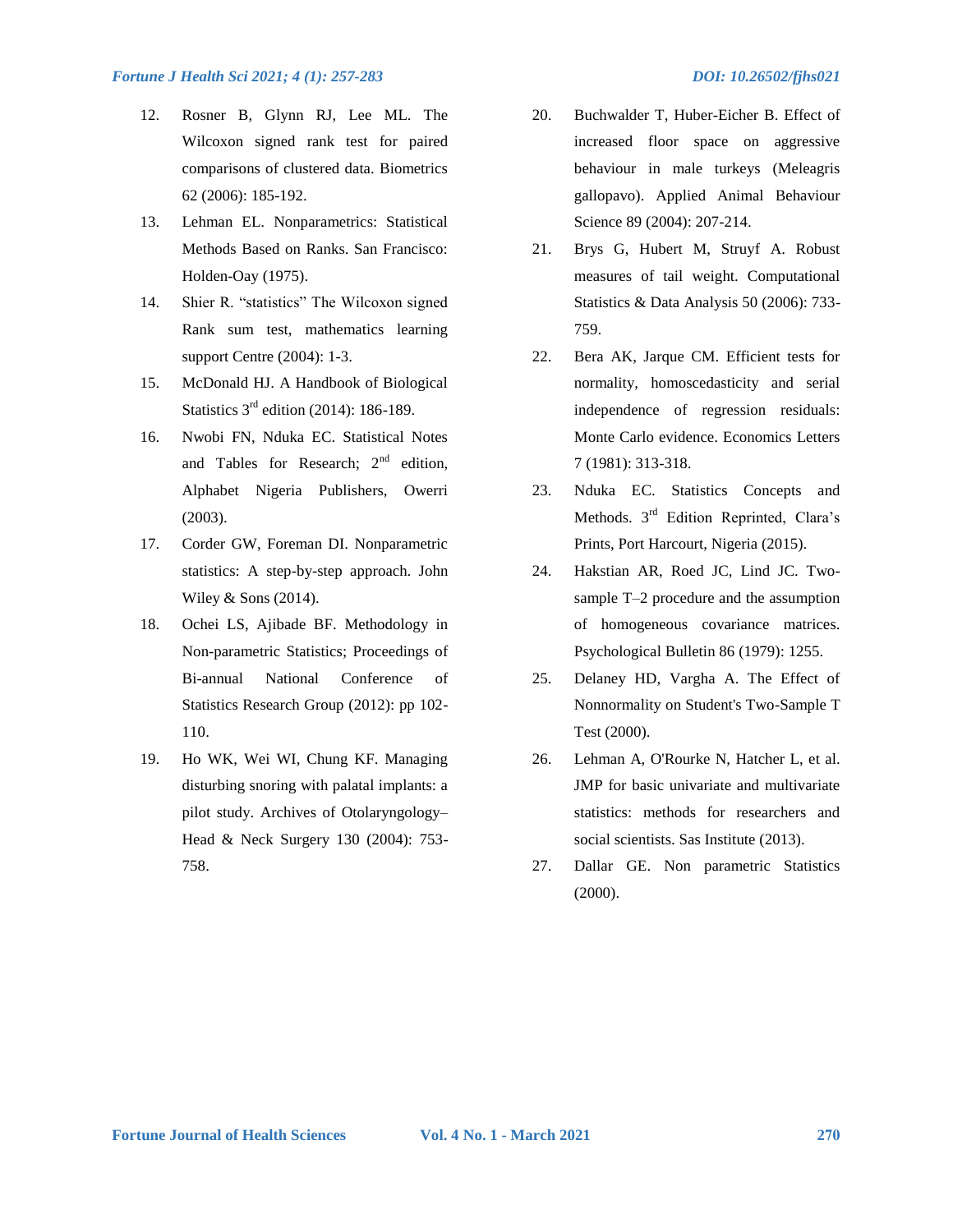- 12. Rosner B, Glynn RJ, Lee ML. The Wilcoxon signed rank test for paired comparisons of clustered data. Biometrics 62 (2006): 185-192.
- 13. Lehman EL. Nonparametrics: Statistical Methods Based on Ranks. San Francisco: Holden-Oay (1975).
- 14. Shier R. "statistics" The Wilcoxon signed Rank sum test, mathematics learning support Centre (2004): 1-3.
- 15. McDonald HJ. A Handbook of Biological Statistics  $3<sup>rd</sup>$  edition (2014): 186-189.
- 16. Nwobi FN, Nduka EC. Statistical Notes and Tables for Research;  $2<sup>nd</sup>$  edition, Alphabet Nigeria Publishers, Owerri (2003).
- 17. Corder GW, Foreman DI. Nonparametric statistics: A step-by-step approach. John Wiley & Sons (2014).
- 18. Ochei LS, Ajibade BF. Methodology in Non-parametric Statistics; Proceedings of Bi-annual National Conference of Statistics Research Group (2012): pp 102- 110.
- 19. Ho WK, Wei WI, Chung KF. Managing disturbing snoring with palatal implants: a pilot study. Archives of Otolaryngology– Head & Neck Surgery 130 (2004): 753- 758.
- 20. Buchwalder T, Huber-Eicher B. Effect of increased floor space on aggressive behaviour in male turkeys (Meleagris gallopavo). Applied Animal Behaviour Science 89 (2004): 207-214.
- 21. Brys G, Hubert M, Struyf A. Robust measures of tail weight. Computational Statistics & Data Analysis 50 (2006): 733- 759.
- 22. Bera AK, Jarque CM. Efficient tests for normality, homoscedasticity and serial independence of regression residuals: Monte Carlo evidence. Economics Letters 7 (1981): 313-318.
- 23. Nduka EC. Statistics Concepts and Methods. 3<sup>rd</sup> Edition Reprinted, Clara's Prints, Port Harcourt, Nigeria (2015).
- 24. Hakstian AR, Roed JC, Lind JC. Twosample T–2 procedure and the assumption of homogeneous covariance matrices. Psychological Bulletin 86 (1979): 1255.
- 25. Delaney HD, Vargha A. The Effect of Nonnormality on Student's Two-Sample T Test (2000).
- 26. Lehman A, O'Rourke N, Hatcher L, et al. JMP for basic univariate and multivariate statistics: methods for researchers and social scientists. Sas Institute (2013).
- 27. Dallar GE. Non parametric Statistics (2000).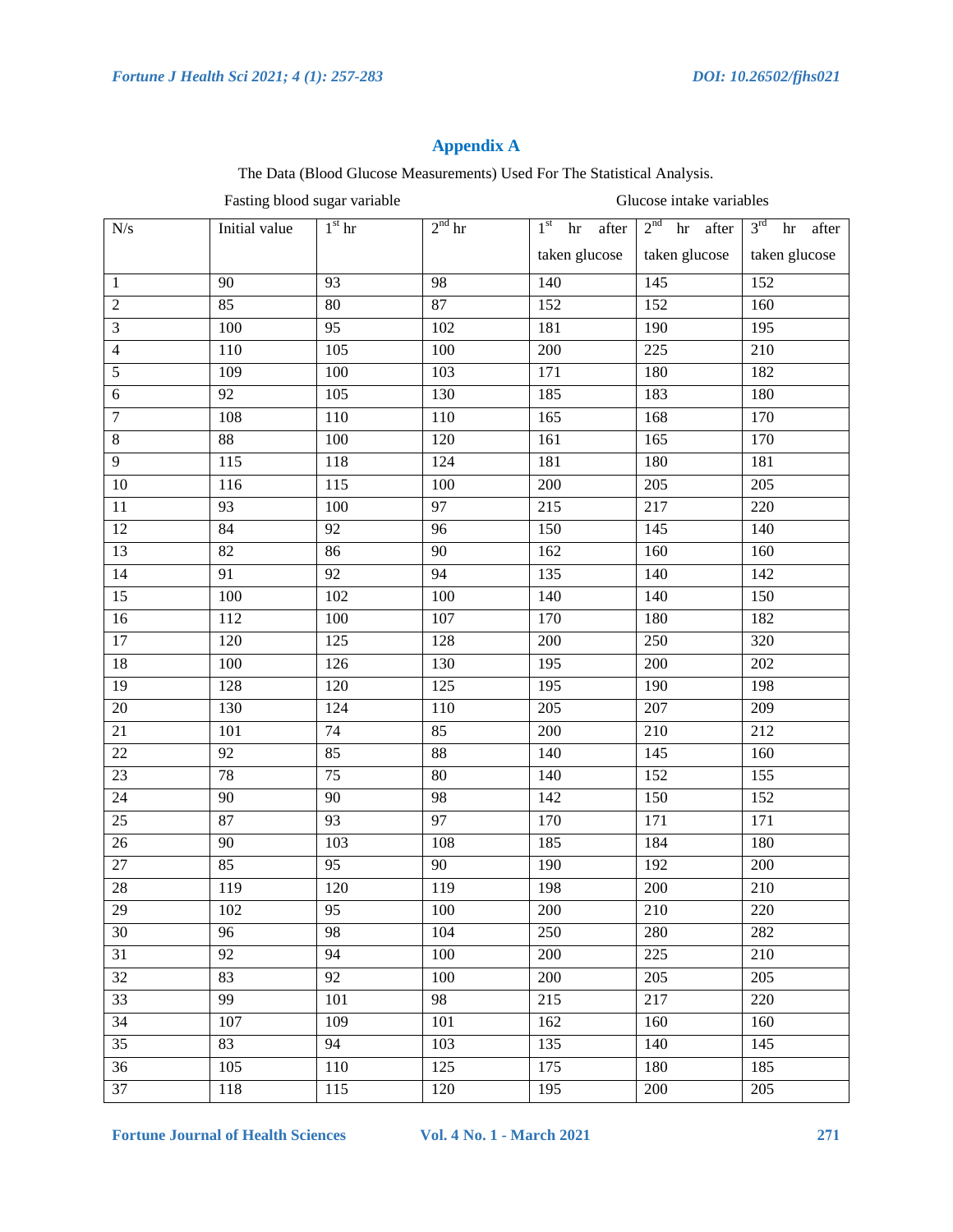# **Appendix A**

The Data (Blood Glucose Measurements) Used For The Statistical Analysis.

Fasting blood sugar variable Glucose intake variables

| $N\!/\!s$       | Initial value   | $1st$ hr         | $2nd$ hr         | 1 <sup>st</sup><br>after<br>hr | $2nd$ hr after | $3rd$ hr<br>after |
|-----------------|-----------------|------------------|------------------|--------------------------------|----------------|-------------------|
|                 |                 |                  |                  | taken glucose                  | taken glucose  | taken glucose     |
| $\mathbf{1}$    | 90              | 93               | 98               | 140                            | 145            | 152               |
| $\sqrt{2}$      | 85              | $\overline{80}$  | 87               | 152                            | 152            | 160               |
| $\overline{3}$  | 100             | 95               | 102              | 181                            | 190            | 195               |
| $\overline{4}$  | 110             | 105              | 100              | 200                            | 225            | 210               |
| $\overline{5}$  | 109             | 100              | 103              | 171                            | 180            | 182               |
| $\sqrt{6}$      | 92              | 105              | 130              | 185                            | 183            | 180               |
| $\overline{7}$  | 108             | 110              | 110              | 165                            | 168            | 170               |
| $\overline{8}$  | 88              | 100              | 120              | 161                            | 165            | 170               |
| $\overline{9}$  | 115             | 118              | 124              | 181                            | 180            | 181               |
| $\overline{10}$ | 116             | 115              | 100              | 200                            | 205            | 205               |
| 11              | 93              | 100              | 97               | 215                            | 217            | 220               |
| $\overline{12}$ | 84              | $\overline{92}$  | 96               | 150                            | 145            | 140               |
| $\overline{13}$ | $\overline{82}$ | 86               | $\overline{90}$  | 162                            | 160            | 160               |
| $\overline{14}$ | 91              | $\overline{92}$  | 94               | 135                            | 140            | 142               |
| 15              | 100             | 102              | 100              | 140                            | 140            | 150               |
| 16              | 112             | 100              | 107              | 170                            | 180            | 182               |
| 17              | 120             | 125              | 128              | 200                            | 250            | 320               |
| 18              | 100             | 126              | 130              | 195                            | 200            | 202               |
| $\overline{19}$ | 128             | 120              | 125              | 195                            | 190            | 198               |
| $\overline{20}$ | 130             | 124              | 110              | 205                            | 207            | 209               |
| 21              | 101             | 74               | 85               | 200                            | 210            | 212               |
| $\overline{22}$ | 92              | 85               | $\overline{88}$  | 140                            | 145            | 160               |
| 23              | 78              | $\overline{75}$  | $\overline{80}$  | $\overline{140}$               | 152            | 155               |
| $\overline{24}$ | 90              | $\overline{90}$  | 98               | 142                            | 150            | 152               |
| 25              | 87              | $\overline{93}$  | 97               | 170                            | 171            | 171               |
| $26\,$          | 90              | 103              | 108              | 185                            | 184            | 180               |
| $\overline{27}$ | 85              | $\overline{95}$  | $\overline{90}$  | 190                            | 192            | 200               |
| $\overline{28}$ | 119             | $\overline{120}$ | 119              | 198                            | 200            | 210               |
| 29              | 102             | $\overline{95}$  | $\overline{100}$ | 200                            | 210            | 220               |
| 30              | 96              | 98               | 104              | 250                            | 280            | 282               |
| 31              | 92              | 94               | 100              | 200                            | 225            | 210               |
| 32              | 83              | 92               | 100              | 200                            | 205            | 205               |
| 33              | 99              | 101              | 98               | 215                            | 217            | 220               |
| 34              | 107             | 109              | 101              | 162                            | 160            | 160               |
| $\overline{35}$ | 83              | $\overline{94}$  | 103              | 135                            | 140            | 145               |
| 36              | 105             | 110              | 125              | 175                            | 180            | 185               |
| 37              | 118             | 115              | 120              | 195                            | 200            | 205               |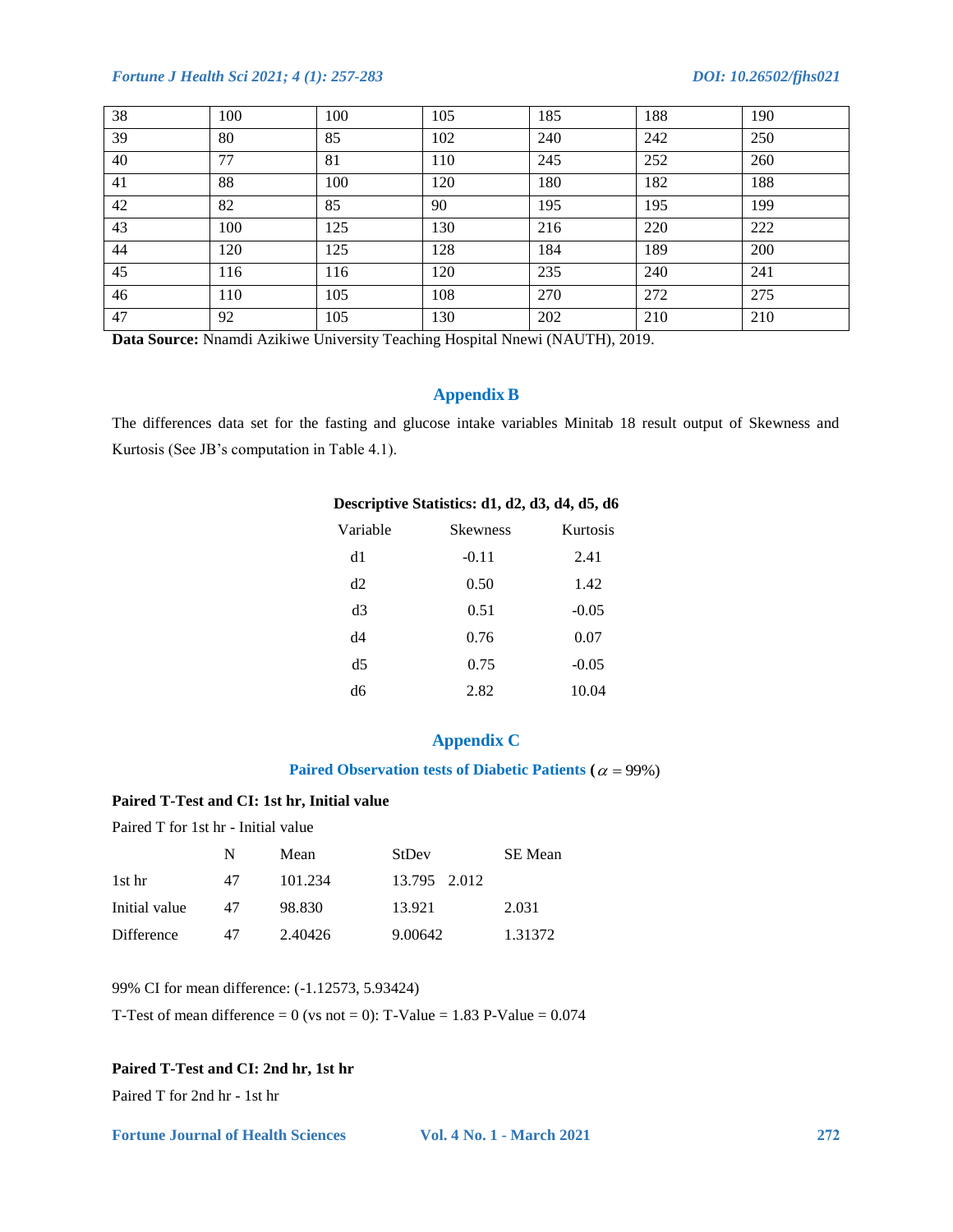| 38 | 100 | 100 | 105 | 185 | 188 | 190 |
|----|-----|-----|-----|-----|-----|-----|
| 39 | 80  | 85  | 102 | 240 | 242 | 250 |
| 40 | 77  | 81  | 110 | 245 | 252 | 260 |
| 41 | 88  | 100 | 120 | 180 | 182 | 188 |
| 42 | 82  | 85  | 90  | 195 | 195 | 199 |
| 43 | 100 | 125 | 130 | 216 | 220 | 222 |
| 44 | 120 | 125 | 128 | 184 | 189 | 200 |
| 45 | 116 | 116 | 120 | 235 | 240 | 241 |
| 46 | 110 | 105 | 108 | 270 | 272 | 275 |
| 47 | 92  | 105 | 130 | 202 | 210 | 210 |

**Data Source:** Nnamdi Azikiwe University Teaching Hospital Nnewi (NAUTH), 2019.

# **Appendix B**

The differences data set for the fasting and glucose intake variables Minitab 18 result output of Skewness and Kurtosis (See JB"s computation in Table 4.1).

### **Descriptive Statistics: d1, d2, d3, d4, d5, d6**

| Variable       | <b>Skewness</b> | Kurtosis |
|----------------|-----------------|----------|
| d1             | $-0.11$         | 2.41     |
| d2             | 0.50            | 1.42     |
| d3             | 0.51            | $-0.05$  |
| d4             | 0.76            | 0.07     |
| d <sub>5</sub> | 0.75            | $-0.05$  |
| dб             | 2.82            | 10.04    |
|                |                 |          |

# **Appendix C**

#### Paired Observation tests of Diabetic Patients ( $\alpha = 99\%)$ )

### **Paired T-Test and CI: 1st hr, Initial value**

Paired T for 1st hr - Initial value

|               | N  | Mean    | StDev        | SE Mean |
|---------------|----|---------|--------------|---------|
| 1st hr        | 47 | 101.234 | 13.795 2.012 |         |
| Initial value | 47 | 98.830  | 13.921       | 2.031   |
| Difference    | 47 | 2.40426 | 9.00642      | 1.31372 |

99% CI for mean difference: (-1.12573, 5.93424)

T-Test of mean difference = 0 (vs not = 0): T-Value =  $1.83$  P-Value =  $0.074$ 

# **Paired T-Test and CI: 2nd hr, 1st hr**

Paired T for 2nd hr - 1st hr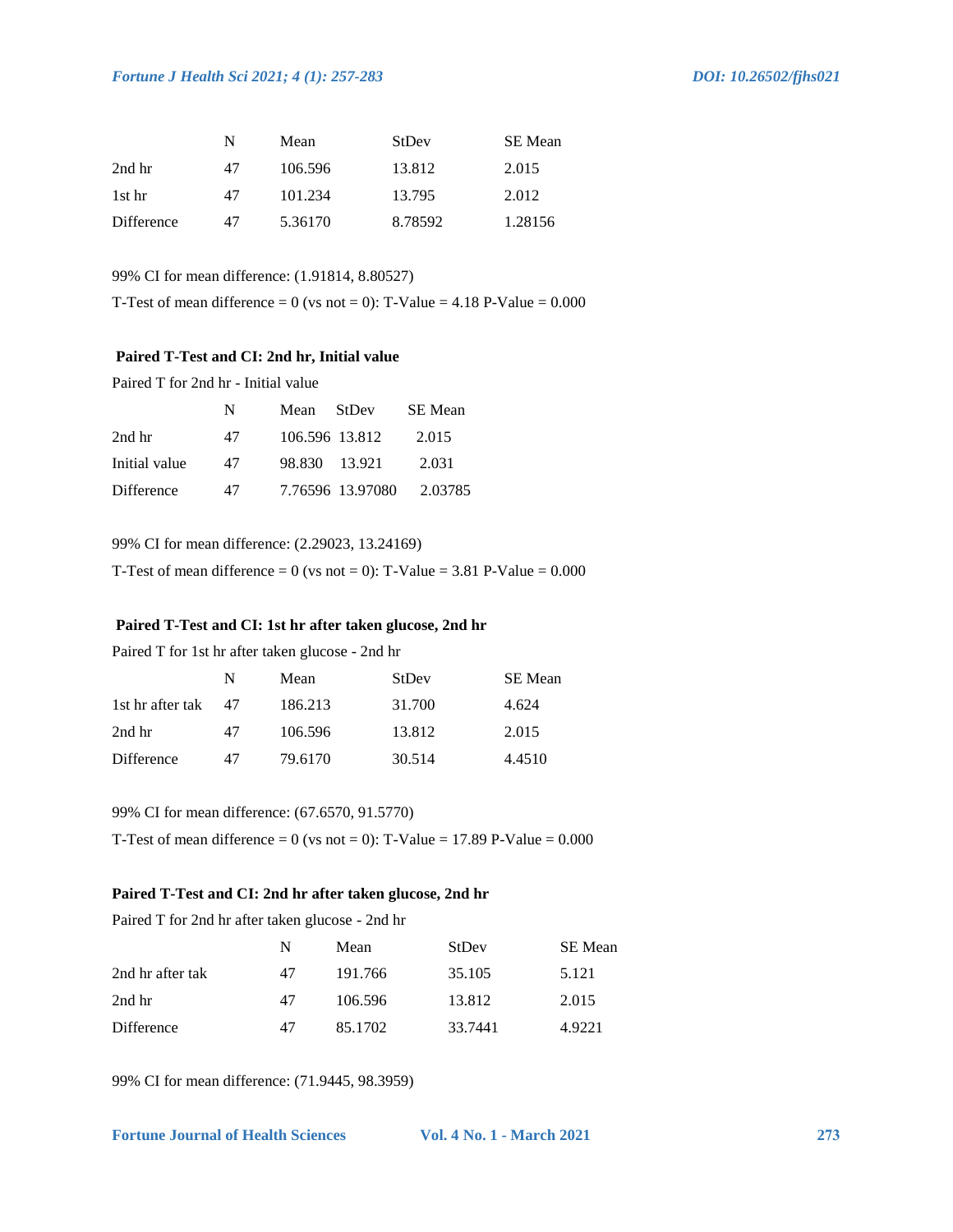|            | N  | Mean    | StDev   | <b>SE</b> Mean |
|------------|----|---------|---------|----------------|
| 2nd hr     | 47 | 106.596 | 13.812  | 2.015          |
| 1st hr     | 47 | 101.234 | 13.795  | 2.012          |
| Difference | 47 | 5.36170 | 8.78592 | 1.28156        |

99% CI for mean difference: (1.91814, 8.80527)

T-Test of mean difference = 0 (vs not = 0): T-Value =  $4.18$  P-Value =  $0.000$ 

#### **Paired T-Test and CI: 2nd hr, Initial value**

Paired T for 2nd hr - Initial value

|               | N  | Mean StDev       | SE Mean |
|---------------|----|------------------|---------|
| 2nd hr        | 47 | 106.596 13.812   | 2.015   |
| Initial value | 47 | 98.830 13.921    | 2.031   |
| Difference    | 47 | 7.76596 13.97080 | 2.03785 |

99% CI for mean difference: (2.29023, 13.24169)

T-Test of mean difference = 0 (vs not = 0): T-Value =  $3.81$  P-Value =  $0.000$ 

# **Paired T-Test and CI: 1st hr after taken glucose, 2nd hr**

Paired T for 1st hr after taken glucose - 2nd hr

|                  | N  | Mean    | StDev  | SE Mean |
|------------------|----|---------|--------|---------|
| 1st hr after tak | 47 | 186.213 | 31.700 | 4.624   |
| 2nd hr           | 47 | 106.596 | 13.812 | 2.015   |
| Difference       | 47 | 79.6170 | 30.514 | 4.4510  |

#### 99% CI for mean difference: (67.6570, 91.5770)

T-Test of mean difference = 0 (vs not = 0): T-Value =  $17.89$  P-Value =  $0.000$ 

#### **Paired T-Test and CI: 2nd hr after taken glucose, 2nd hr**

Paired T for 2nd hr after taken glucose - 2nd hr

|                  | N  | Mean    | StDev   | SE Mean |
|------------------|----|---------|---------|---------|
| 2nd hr after tak | 47 | 191.766 | 35.105  | 5.121   |
| 2nd hr           | 47 | 106.596 | 13.812  | 2.015   |
| Difference       | 47 | 85.1702 | 33.7441 | 4.9221  |

99% CI for mean difference: (71.9445, 98.3959)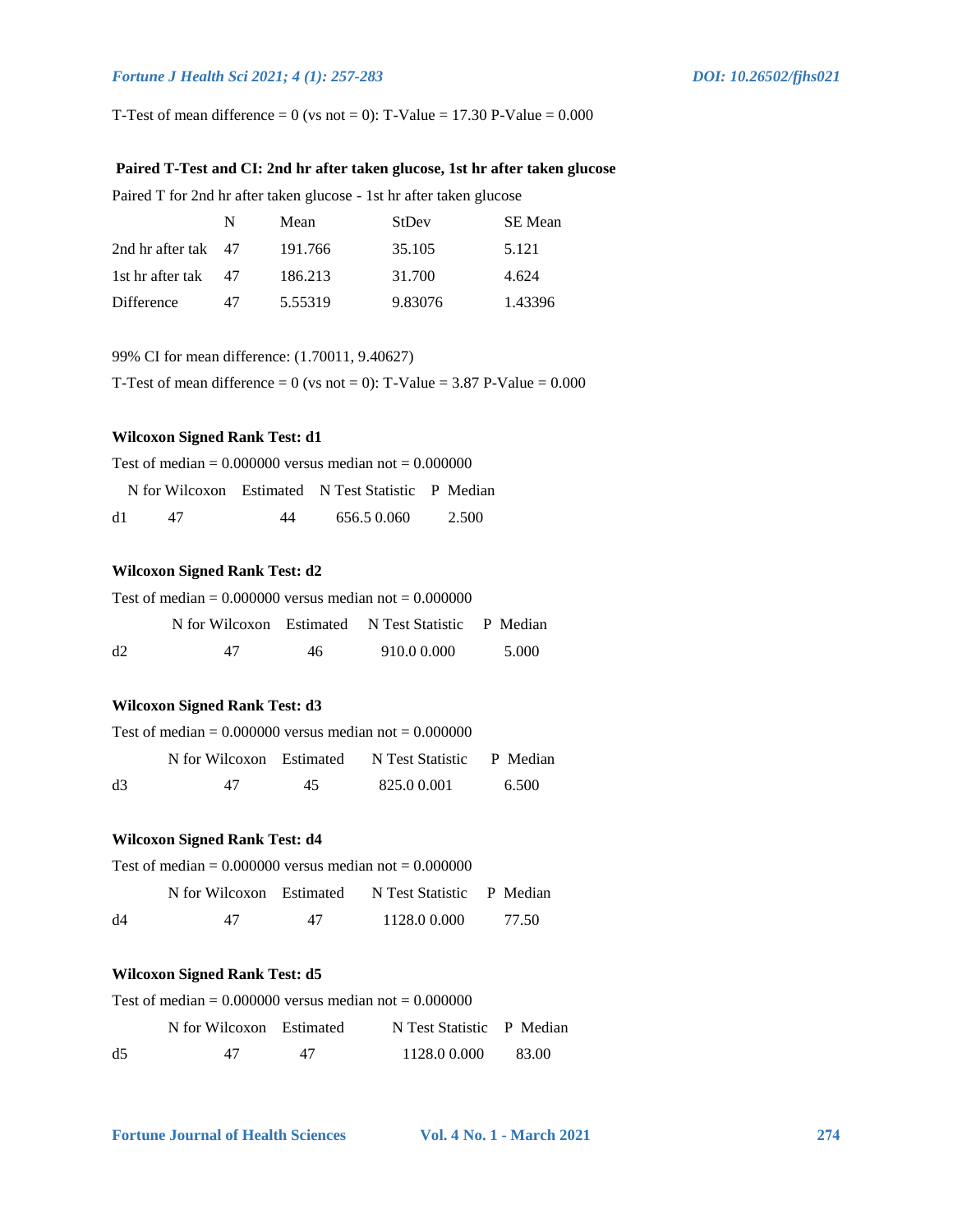T-Test of mean difference = 0 (vs not = 0): T-Value = 17.30 P-Value =  $0.000$ 

### **Paired T-Test and CI: 2nd hr after taken glucose, 1st hr after taken glucose**

Paired T for 2nd hr after taken glucose - 1st hr after taken glucose

|                     | N   | Mean    | StDev   | SE Mean |
|---------------------|-----|---------|---------|---------|
| 2nd hr after tak 47 |     | 191.766 | 35.105  | 5.121   |
| 1st hr after tak    | -47 | 186.213 | 31.700  | 4.624   |
| Difference          | 47  | 5.55319 | 9.83076 | 1.43396 |

#### 99% CI for mean difference: (1.70011, 9.40627)

T-Test of mean difference = 0 (vs not = 0): T-Value =  $3.87$  P-Value =  $0.000$ 

# **Wilcoxon Signed Rank Test: d1**

Test of median  $= 0.000000$  versus median not  $= 0.000000$ 

|    |    |    | N for Wilcoxon Estimated N Test Statistic P Median |       |
|----|----|----|----------------------------------------------------|-------|
| d1 | 47 | 44 | 656.5 0.060                                        | 2.500 |

### **Wilcoxon Signed Rank Test: d2**

| Test of median = $0.000000$ versus median not = $0.000000$ |    |     |                                                    |       |  |
|------------------------------------------------------------|----|-----|----------------------------------------------------|-------|--|
|                                                            |    |     | N for Wilcoxon Estimated N Test Statistic P Median |       |  |
| d2                                                         | 47 | 46. | 910.0 0.000                                        | 5.000 |  |

### **Wilcoxon Signed Rank Test: d3**

| Test of median = $0.000000$ versus median not = $0.000000$ |    |     |                                                    |       |  |
|------------------------------------------------------------|----|-----|----------------------------------------------------|-------|--|
|                                                            |    |     | N for Wilcoxon Estimated N Test Statistic P Median |       |  |
| d3                                                         | 47 | 45. | 825.00.001                                         | 6.500 |  |

#### **Wilcoxon Signed Rank Test: d4**

| Test of median $= 0.000000$ versus median not $= 0.000000$ |    |    |                                                    |         |  |  |
|------------------------------------------------------------|----|----|----------------------------------------------------|---------|--|--|
|                                                            |    |    | N for Wilcoxon Estimated N Test Statistic P Median |         |  |  |
| d4                                                         | 47 | 47 | 1128.0 0.000                                       | - 77.50 |  |  |

### **Wilcoxon Signed Rank Test: d5**

| Test of median $= 0.000000$ versus median not $= 0.000000$ |                          |    |                           |        |  |
|------------------------------------------------------------|--------------------------|----|---------------------------|--------|--|
|                                                            | N for Wilcoxon Estimated |    | N Test Statistic P Median |        |  |
| d5                                                         | 47                       | 47 | 1128.0 0.000              | -83.00 |  |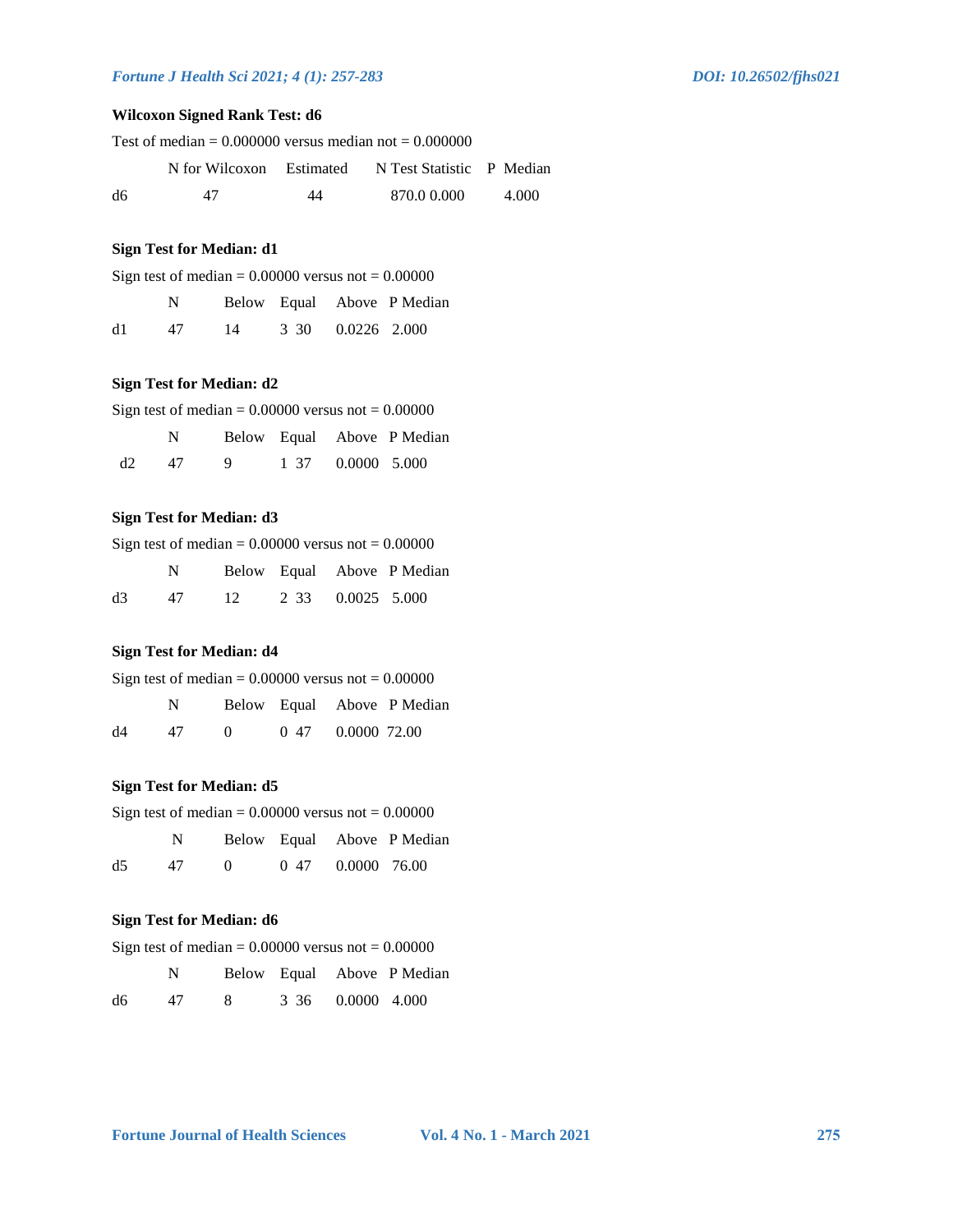# **Wilcoxon Signed Rank Test: d6**

| Test of median = $0.000000$ versus median not = $0.000000$ |    |    |                                                    |       |  |
|------------------------------------------------------------|----|----|----------------------------------------------------|-------|--|
|                                                            |    |    | N for Wilcoxon Estimated N Test Statistic P Median |       |  |
| d6                                                         | 47 | 44 | 870.0 0.000                                        | 4.000 |  |

#### **Sign Test for Median: d1**

| Sign test of median = $0.00000$ versus not = $0.00000$ |  |  |  |                            |  |
|--------------------------------------------------------|--|--|--|----------------------------|--|
| N                                                      |  |  |  | Below Equal Above P Median |  |

| d1 | 47 | 14 | 3 30 0.0226 2.000 |  |
|----|----|----|-------------------|--|
|    |    |    |                   |  |

### **Sign Test for Median: d2**

| Sign test of median = $0.00000$ versus not = $0.00000$ |    |                |      |              |                            |  |
|--------------------------------------------------------|----|----------------|------|--------------|----------------------------|--|
|                                                        | N  |                |      |              | Below Equal Above P Median |  |
| d2                                                     | 47 | $\overline{q}$ | 1 37 | 0.0000 5.000 |                            |  |

#### **Sign Test for Median: d3**

| Sign test of median = $0.00000$ versus not = $0.00000$ |                |  |                         |  |                            |  |
|--------------------------------------------------------|----------------|--|-------------------------|--|----------------------------|--|
|                                                        | N <sub>1</sub> |  |                         |  | Below Equal Above P Median |  |
| d3                                                     |                |  | 47 12 2 33 0.0025 5.000 |  |                            |  |

# **Sign Test for Median: d4**

| Sign test of median = $0.00000$ versus not = $0.00000$ |    |          |      |              |                            |
|--------------------------------------------------------|----|----------|------|--------------|----------------------------|
|                                                        | N. |          |      |              | Below Equal Above P Median |
| d4                                                     | 47 | $\Omega$ | 0.47 | 0.0000 72.00 |                            |

### **Sign Test for Median: d5**

| Sign test of median = $0.00000$ versus not = $0.00000$ |                                                                                                                                                                                                                                |              |      |              |                            |  |
|--------------------------------------------------------|--------------------------------------------------------------------------------------------------------------------------------------------------------------------------------------------------------------------------------|--------------|------|--------------|----------------------------|--|
|                                                        | N and the set of the set of the set of the set of the set of the set of the set of the set of the set of the set of the set of the set of the set of the set of the set of the set of the set of the set of the set of the set |              |      |              | Below Equal Above P Median |  |
| d5                                                     | 47                                                                                                                                                                                                                             | $\mathbf{0}$ | 0.47 | 0.0000 76.00 |                            |  |

### **Sign Test for Median: d6**

| Sign test of median = $0.00000$ versus not = $0.00000$ |  |  |
|--------------------------------------------------------|--|--|
|--------------------------------------------------------|--|--|

|    |    |  |                   | Below Equal Above P Median |
|----|----|--|-------------------|----------------------------|
| d6 | 47 |  | 3 36 0.0000 4.000 |                            |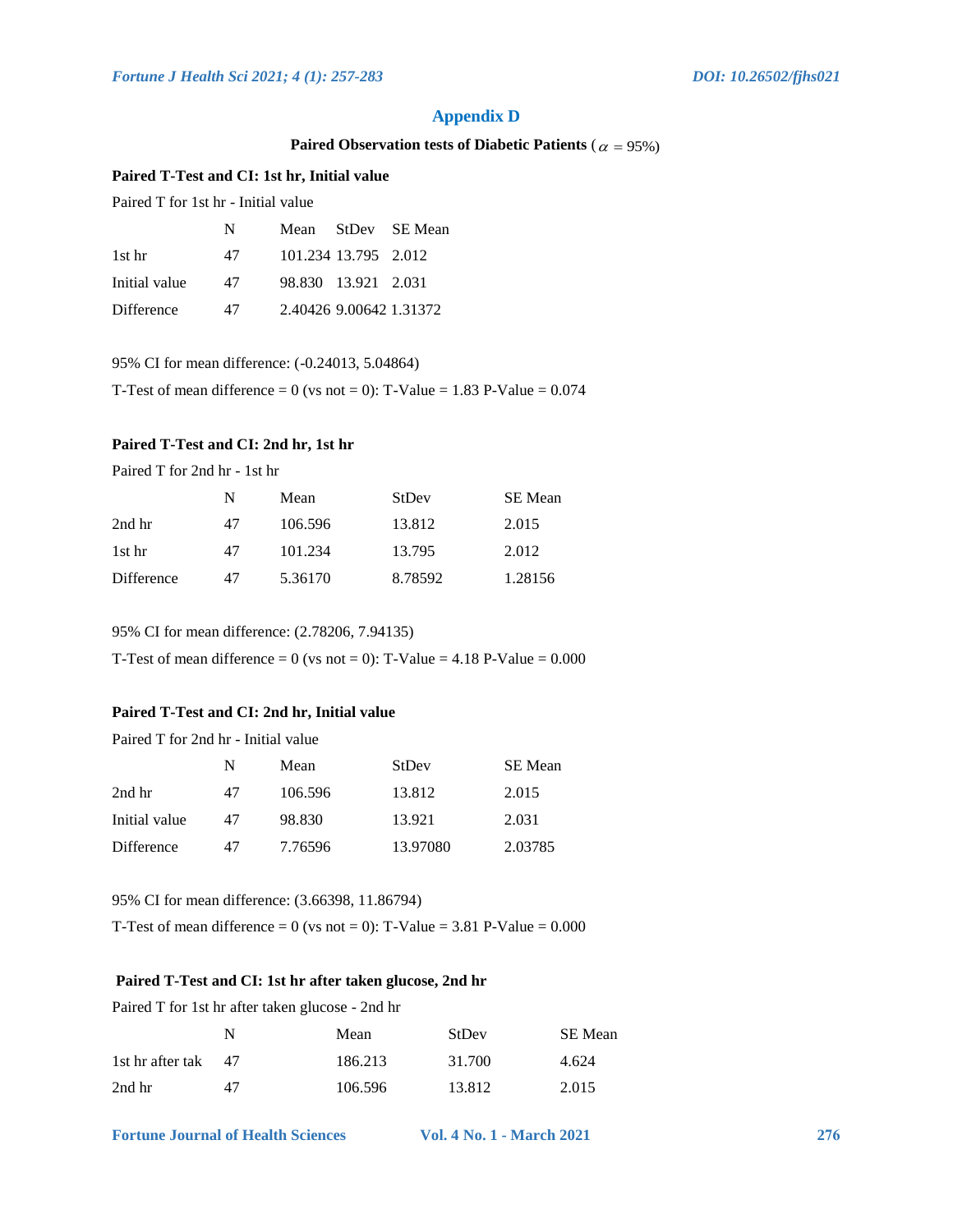# **Appendix D**

#### Paired Observation tests of Diabetic Patients ( $\alpha = 95\%$ )

#### **Paired T-Test and CI: 1st hr, Initial value**

Paired T for 1st hr - Initial value

|               | N  |                      | Mean StDev SE Mean      |
|---------------|----|----------------------|-------------------------|
| 1st hr        | 47 | 101.234 13.795 2.012 |                         |
| Initial value | 47 | 98.830 13.921 2.031  |                         |
| Difference    | 47 |                      | 2.40426 9.00642 1.31372 |

95% CI for mean difference: (-0.24013, 5.04864)

T-Test of mean difference = 0 (vs not = 0): T-Value =  $1.83$  P-Value =  $0.074$ 

# **Paired T-Test and CI: 2nd hr, 1st hr**

Paired T for 2nd hr - 1st hr

|            |    | Mean    | StDev   | SE Mean |
|------------|----|---------|---------|---------|
| 2nd hr     | 47 | 106.596 | 13.812  | 2.015   |
| 1st hr     | 47 | 101.234 | 13.795  | 2.012   |
| Difference | 47 | 5.36170 | 8.78592 | 1.28156 |

95% CI for mean difference: (2.78206, 7.94135)

T-Test of mean difference = 0 (vs not = 0): T-Value =  $4.18$  P-Value =  $0.000$ 

#### **Paired T-Test and CI: 2nd hr, Initial value**

Paired T for 2nd hr - Initial value

|               | N  | Mean    | StDev    | <b>SE</b> Mean |
|---------------|----|---------|----------|----------------|
| 2nd hr        | 47 | 106.596 | 13.812   | 2.015          |
| Initial value | 47 | 98.830  | 13.921   | 2.031          |
| Difference    | 47 | 7.76596 | 13.97080 | 2.03785        |

95% CI for mean difference: (3.66398, 11.86794)

T-Test of mean difference = 0 (vs not = 0): T-Value =  $3.81$  P-Value =  $0.000$ 

#### **Paired T-Test and CI: 1st hr after taken glucose, 2nd hr**

Paired T for 1st hr after taken glucose - 2nd hr

|                  | N  | Mean    | StDev  | SE Mean |
|------------------|----|---------|--------|---------|
| 1st hr after tak | 47 | 186.213 | 31.700 | 4.624   |
| 2nd hr           | 47 | 106.596 | 13.812 | 2.015   |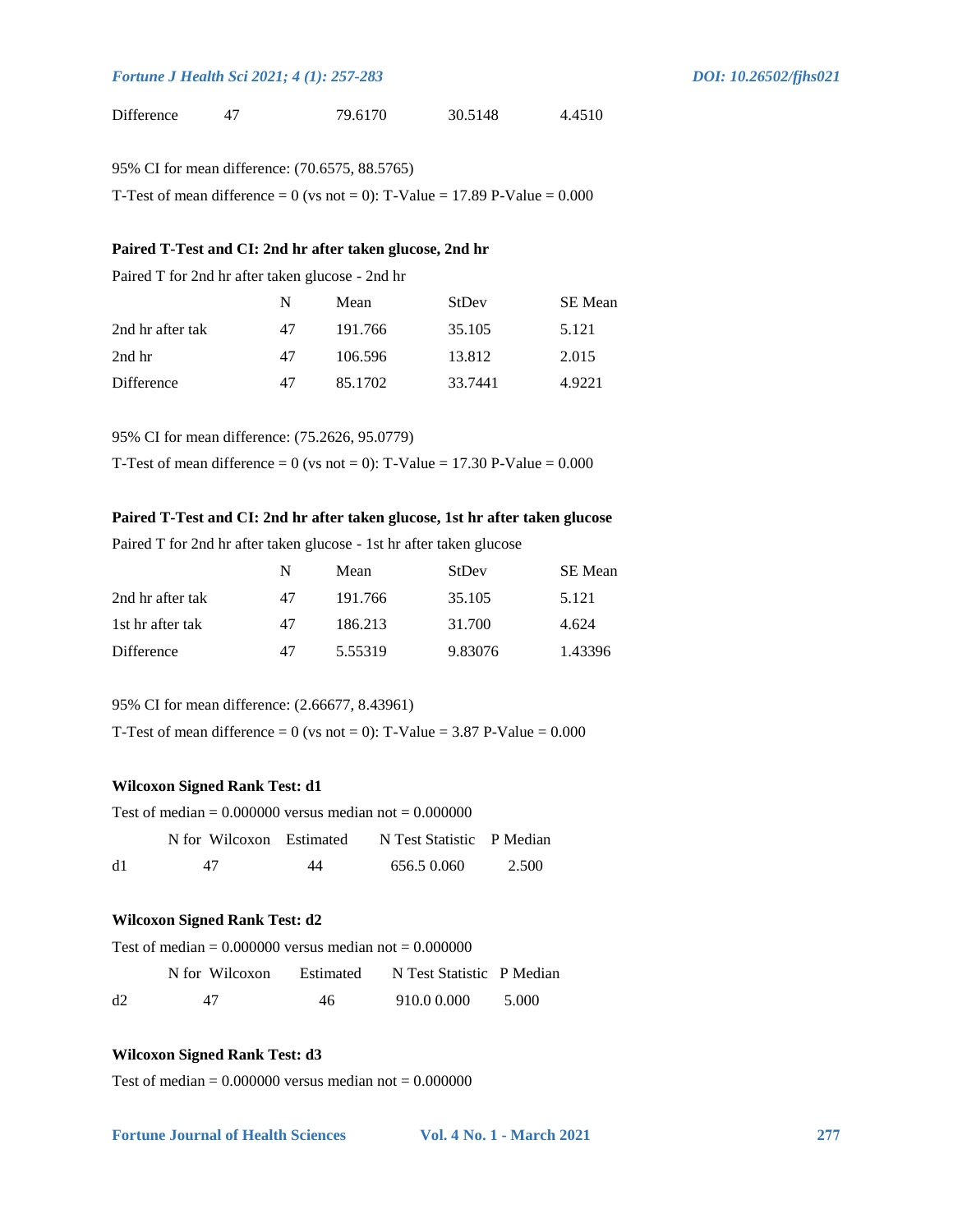| Difference | 79.6170 | 30.5148 | 4.4510 |
|------------|---------|---------|--------|
|            |         |         |        |

| 95% CI for mean difference: (70.6575, 88.5765) |  |
|------------------------------------------------|--|
|------------------------------------------------|--|

T-Test of mean difference = 0 (vs not = 0): T-Value = 17.89 P-Value =  $0.000$ 

#### **Paired T-Test and CI: 2nd hr after taken glucose, 2nd hr**

Paired T for 2nd hr after taken glucose - 2nd hr

|                  | N  | Mean    | StDev   | SE Mean |
|------------------|----|---------|---------|---------|
| 2nd hr after tak | 47 | 191.766 | 35.105  | 5.121   |
| 2nd hr           | 47 | 106.596 | 13.812  | 2.015   |
| Difference       | 47 | 85.1702 | 33.7441 | 4.9221  |

95% CI for mean difference: (75.2626, 95.0779)

T-Test of mean difference = 0 (vs not = 0): T-Value = 17.30 P-Value =  $0.000$ 

#### **Paired T-Test and CI: 2nd hr after taken glucose, 1st hr after taken glucose**

Paired T for 2nd hr after taken glucose - 1st hr after taken glucose

|                  | N  | Mean    | StDev   | SE Mean |
|------------------|----|---------|---------|---------|
| 2nd hr after tak | 47 | 191.766 | 35.105  | 5.121   |
| 1st hr after tak | 47 | 186.213 | 31.700  | 4.624   |
| Difference       | 47 | 5.55319 | 9.83076 | 1.43396 |

95% CI for mean difference: (2.66677, 8.43961)

T-Test of mean difference = 0 (vs not = 0): T-Value =  $3.87$  P-Value =  $0.000$ 

# **Wilcoxon Signed Rank Test: d1**

| Test of median = $0.000000$ versus median not = $0.000000$ |    |    |                                                    |       |
|------------------------------------------------------------|----|----|----------------------------------------------------|-------|
|                                                            |    |    | N for Wilcoxon Estimated N Test Statistic P Median |       |
| d1                                                         | 47 | 44 | 656.5 0.060                                        | 2.500 |

#### **Wilcoxon Signed Rank Test: d2**

| Test of median = $0.000000$ versus median not = $0.000000$ |                |           |                           |       |
|------------------------------------------------------------|----------------|-----------|---------------------------|-------|
|                                                            | N for Wilcoxon | Estimated | N Test Statistic P Median |       |
| d2                                                         | 47             | 46        | 910.0 0.000               | 5.000 |

# **Wilcoxon Signed Rank Test: d3**

Test of median  $= 0.000000$  versus median not  $= 0.000000$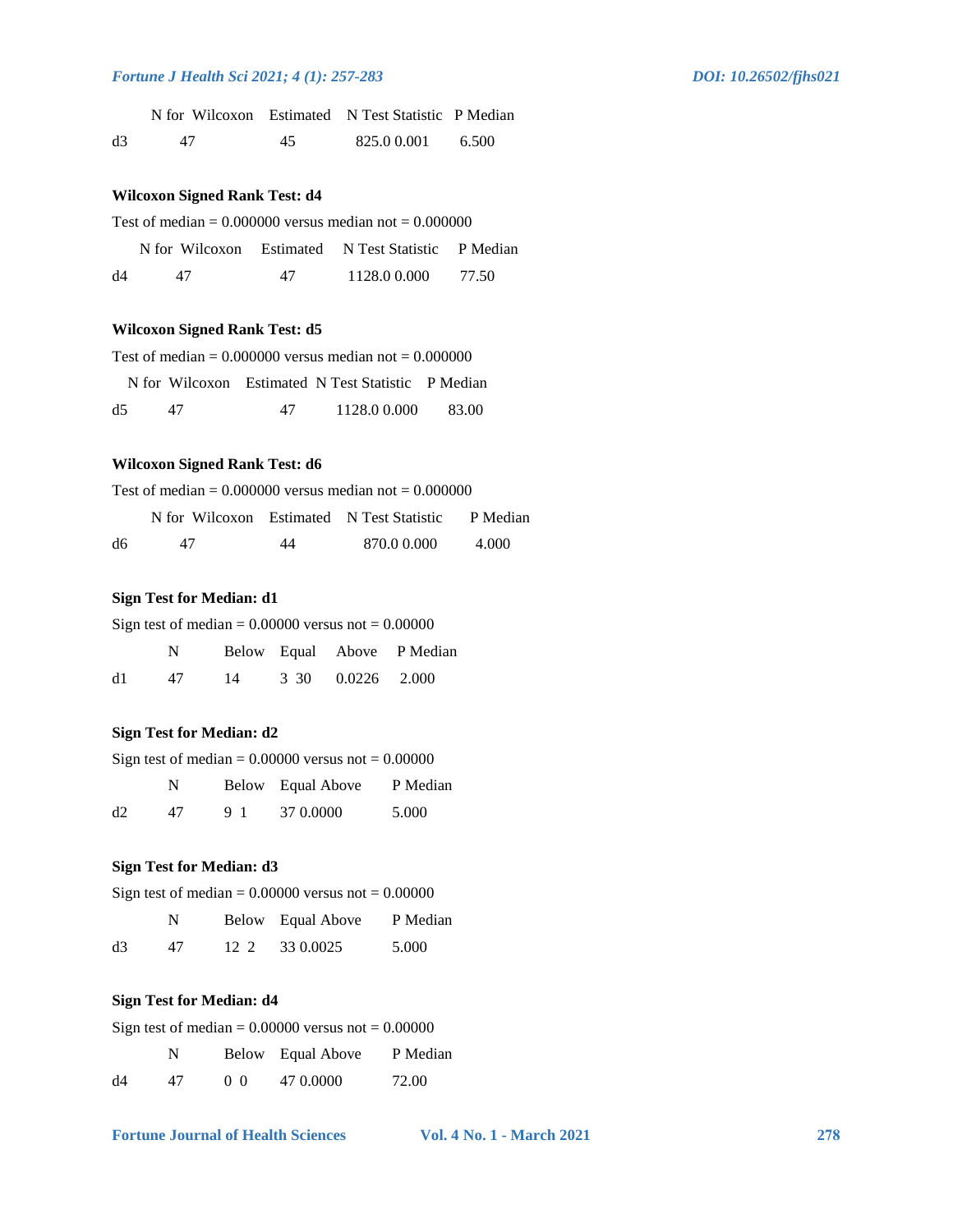|    | N for Wilcoxon Estimated N Test Statistic P Median |    |            |       |
|----|----------------------------------------------------|----|------------|-------|
| d3 | 47                                                 | 45 | 825.00.001 | 6.500 |

### **Wilcoxon Signed Rank Test: d4**

| Test of median = $0.000000$ versus median not = $0.000000$ |  |
|------------------------------------------------------------|--|
|------------------------------------------------------------|--|

|    |    |    | N for Wilcoxon Estimated N Test Statistic P Median |       |
|----|----|----|----------------------------------------------------|-------|
| d4 | 47 | 47 | 1128.0 0.000                                       | 77.50 |

### **Wilcoxon Signed Rank Test: d5**

Test of median  $= 0.000000$  versus median not  $= 0.000000$ 

|    |    | N for Wilcoxon Estimated N Test Statistic P Median |        |
|----|----|----------------------------------------------------|--------|
| d5 | 47 | 1128.0 0.000                                       | -83.00 |

# **Wilcoxon Signed Rank Test: d6**

Test of median  $= 0.000000$  versus median not  $= 0.000000$ 

|    | N for Wilcoxon Estimated N Test Statistic |    |             | P Median |
|----|-------------------------------------------|----|-------------|----------|
| dб | 47                                        | 44 | 870.0 0.000 | 4.000    |

### **Sign Test for Median: d1**

| Sign test of median = $0.00000$ versus not = $0.00000$ |    |  |  |                      |                            |  |
|--------------------------------------------------------|----|--|--|----------------------|----------------------------|--|
|                                                        | N. |  |  |                      | Below Equal Above P Median |  |
| d1                                                     | 47 |  |  | 14 3 30 0.0226 2.000 |                            |  |

### **Sign Test for Median: d2**

| Sign test of median = $0.00000$ versus not = $0.00000$ |    |    |                   |          |  |  |
|--------------------------------------------------------|----|----|-------------------|----------|--|--|
|                                                        | N. |    | Below Equal Above | P Median |  |  |
| d2                                                     | 47 | 91 | 37 0.0000         | 5.000    |  |  |

#### **Sign Test for Median: d3**

Sign test of median  $= 0.00000$  versus not  $= 0.00000$ 

|    | N  | Below Equal Above | P Median |
|----|----|-------------------|----------|
| d3 | 47 | 12 2 33 0.0025    | 5.000    |

# **Sign Test for Median: d4**

| Sign test of median = $0.00000$ versus not = $0.00000$ |  |                   |          |  |  |
|--------------------------------------------------------|--|-------------------|----------|--|--|
| N                                                      |  | Below Equal Above | P Median |  |  |

| d4 | 47 | 0 <sub>0</sub> | 47 0.0000 | 72.00 |
|----|----|----------------|-----------|-------|
|----|----|----------------|-----------|-------|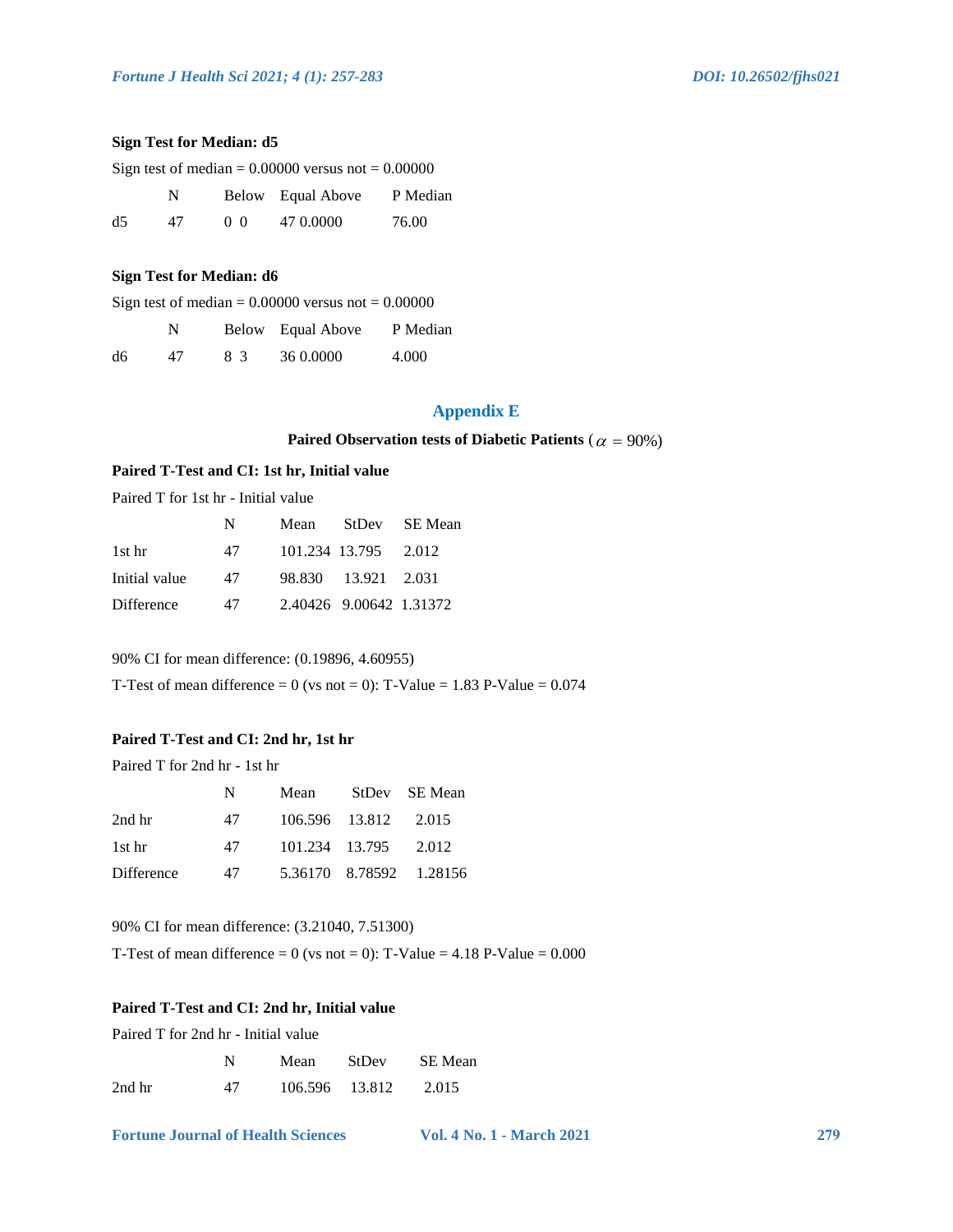#### **Sign Test for Median: d5**

| Sign test of median = $0.00000$ versus not = $0.00000$ |  |
|--------------------------------------------------------|--|
|--------------------------------------------------------|--|

|    | N  |        | Below Equal Above | P Median |
|----|----|--------|-------------------|----------|
| d5 | 47 | (0, 0) | 47 0.0000         | 76.00    |

#### **Sign Test for Median: d6**

Sign test of median  $= 0.00000$  versus not  $= 0.00000$ 

|    | N  |    | Below Equal Above | P Median |
|----|----|----|-------------------|----------|
| d6 | 47 | 83 | 36 0.0000         | 4.000    |

# **Appendix E**

#### Paired Observation tests of Diabetic Patients ( $\alpha = 90\%)$

# **Paired T-Test and CI: 1st hr, Initial value**

Paired T for 1st hr - Initial value

|               | N  | Mean |                         | StDev SE Mean |
|---------------|----|------|-------------------------|---------------|
| 1st hr        | 47 |      | 101.234 13.795 2.012    |               |
| Initial value | 47 |      | 98.830 13.921 2.031     |               |
| Difference    | 47 |      | 2.40426 9.00642 1.31372 |               |

90% CI for mean difference: (0.19896, 4.60955)

T-Test of mean difference = 0 (vs not = 0): T-Value =  $1.83$  P-Value =  $0.074$ 

# **Paired T-Test and CI: 2nd hr, 1st hr**

Paired T for 2nd hr - 1st hr

|            | N  | Mean |                      | StDev SE Mean           |
|------------|----|------|----------------------|-------------------------|
| 2nd hr     | 47 |      | 106.596 13.812 2.015 |                         |
| 1st hr     | 47 |      | 101.234 13.795 2.012 |                         |
| Difference | 47 |      |                      | 5.36170 8.78592 1.28156 |

90% CI for mean difference: (3.21040, 7.51300)

T-Test of mean difference = 0 (vs not = 0): T-Value =  $4.18$  P-Value =  $0.000$ 

#### **Paired T-Test and CI: 2nd hr, Initial value**

Paired T for 2nd hr - Initial value

|        | N  | Mean | StDev          | SE Mean |
|--------|----|------|----------------|---------|
| 2nd hr | 47 |      | 106.596 13.812 | 2.015   |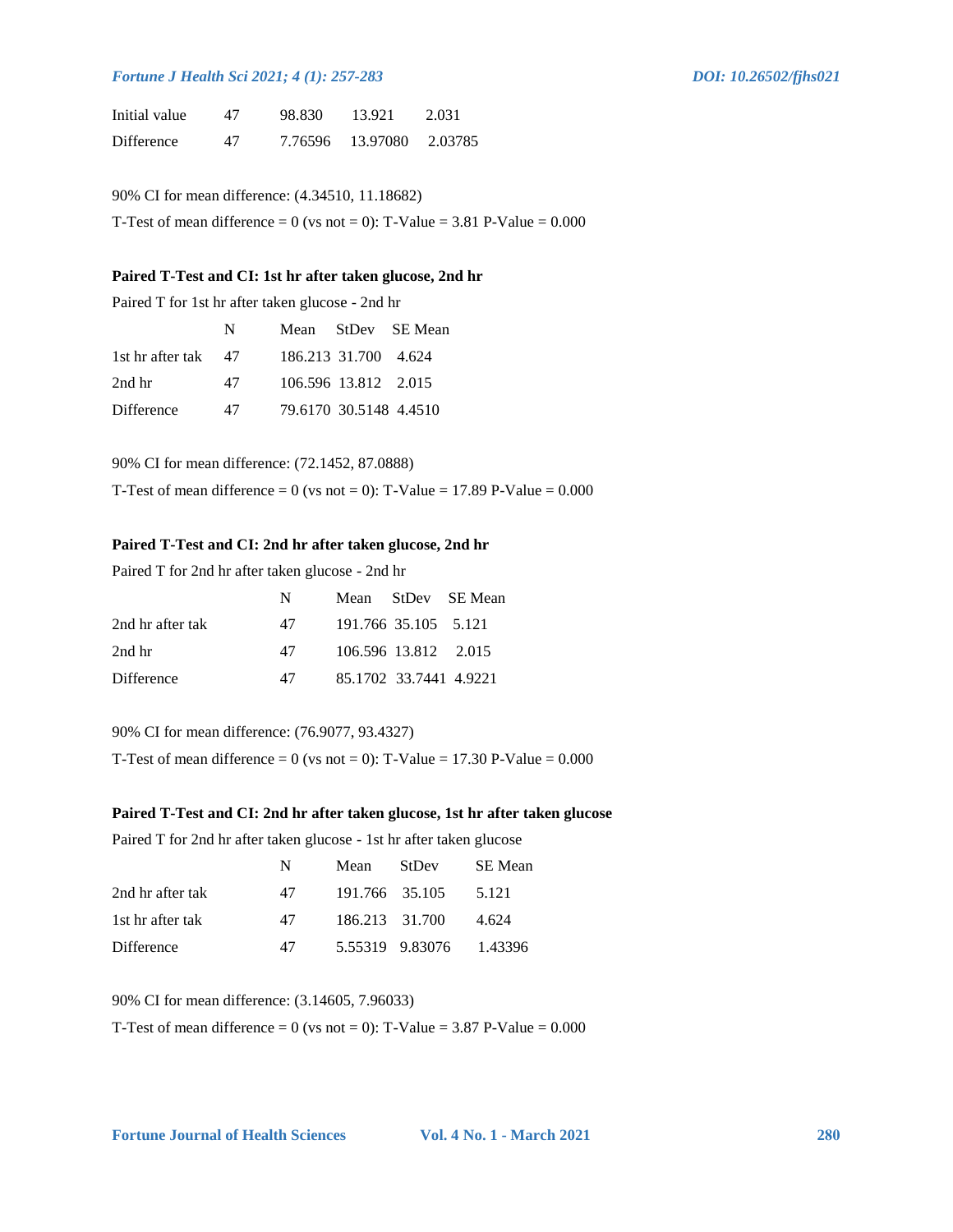| Initial value     | 47 | 98.830  | 13.921     | 2.031   |
|-------------------|----|---------|------------|---------|
| <b>Difference</b> | 47 | 7.76596 | - 13.97080 | 2.03785 |

90% CI for mean difference: (4.34510, 11.18682)

T-Test of mean difference = 0 (vs not = 0): T-Value =  $3.81$  P-Value =  $0.000$ 

#### **Paired T-Test and CI: 1st hr after taken glucose, 2nd hr**

Paired T for 1st hr after taken glucose - 2nd hr

|                     | N  |                        | Mean StDev SE Mean |
|---------------------|----|------------------------|--------------------|
| 1st hr after tak 47 |    | 186.213 31.700 4.624   |                    |
| $2nd$ hr            | 47 | 106.596 13.812 2.015   |                    |
| Difference          | 47 | 79.6170 30.5148 4.4510 |                    |

90% CI for mean difference: (72.1452, 87.0888)

T-Test of mean difference = 0 (vs not = 0): T-Value = 17.89 P-Value =  $0.000$ 

# **Paired T-Test and CI: 2nd hr after taken glucose, 2nd hr**

Paired T for 2nd hr after taken glucose - 2nd hr

|                  | N  |                        | Mean StDev SE Mean |
|------------------|----|------------------------|--------------------|
| 2nd hr after tak | 47 | 191.766 35.105 5.121   |                    |
| 2nd hr           | 47 | 106.596 13.812 2.015   |                    |
| Difference       | 47 | 85.1702 33.7441 4.9221 |                    |

90% CI for mean difference: (76.9077, 93.4327)

T-Test of mean difference = 0 (vs not = 0): T-Value = 17.30 P-Value =  $0.000$ 

#### **Paired T-Test and CI: 2nd hr after taken glucose, 1st hr after taken glucose**

Paired T for 2nd hr after taken glucose - 1st hr after taken glucose

|                  | N  | Mean           | StDev                   | SE Mean |
|------------------|----|----------------|-------------------------|---------|
| 2nd hr after tak | 47 | 191.766 35.105 |                         | 5.121   |
| 1st hr after tak | 47 | 186.213 31.700 |                         | 4.624   |
| Difference       | 47 |                | 5.55319 9.83076 1.43396 |         |

90% CI for mean difference: (3.14605, 7.96033)

T-Test of mean difference = 0 (vs not = 0): T-Value =  $3.87$  P-Value =  $0.000$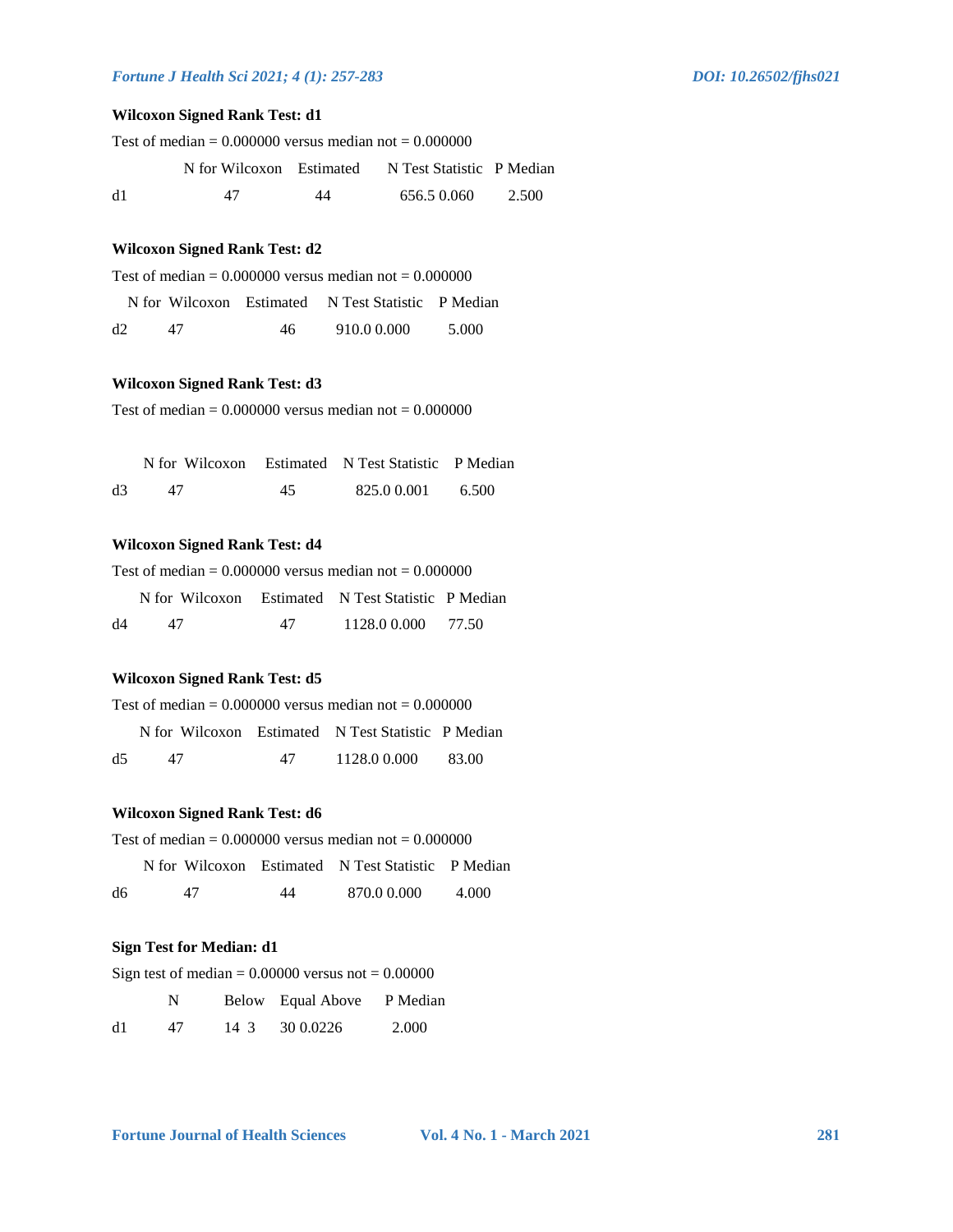# **Wilcoxon Signed Rank Test: d1**

| Test of median = $0.000000$ versus median not = $0.000000$ |    |    |                                                    |       |
|------------------------------------------------------------|----|----|----------------------------------------------------|-------|
|                                                            |    |    | N for Wilcoxon Estimated N Test Statistic P Median |       |
| d1                                                         | 47 | 44 | 656.5 0.060                                        | 2.500 |

# **Wilcoxon Signed Rank Test: d2**

| Test of median = $0.000000$ versus median not = $0.000000$ |  |  |
|------------------------------------------------------------|--|--|
|------------------------------------------------------------|--|--|

|    |    | N for Wilcoxon Estimated N Test Statistic P Median |       |
|----|----|----------------------------------------------------|-------|
| d2 | 46 | 910.0 0.000                                        | 5.000 |

### **Wilcoxon Signed Rank Test: d3**

Test of median  $= 0.000000$  versus median not  $= 0.000000$ 

|    | N for Wilcoxon Estimated N Test Statistic P Median |    |             |       |
|----|----------------------------------------------------|----|-------------|-------|
| d3 |                                                    | 45 | 825.0 0.001 | 6.500 |

#### **Wilcoxon Signed Rank Test: d4**

Test of median  $= 0.000000$  versus median not  $= 0.000000$ 

|    | N for Wilcoxon Estimated N Test Statistic P Median |    |              |       |
|----|----------------------------------------------------|----|--------------|-------|
| d4 | 47                                                 | 47 | 1128.0 0.000 | 77.50 |

#### **Wilcoxon Signed Rank Test: d5**

| Test of median = $0.000000$ versus median not = $0.000000$ |  |
|------------------------------------------------------------|--|
|------------------------------------------------------------|--|

|    | N for Wilcoxon Estimated N Test Statistic P Median |    |              |        |
|----|----------------------------------------------------|----|--------------|--------|
| d5 |                                                    | 47 | 1128.0 0.000 | -83.00 |

### **Wilcoxon Signed Rank Test: d6**

| Test of median = $0.000000$ versus median not = $0.000000$ |  |
|------------------------------------------------------------|--|
|------------------------------------------------------------|--|

|    |    |    | N for Wilcoxon Estimated N Test Statistic P Median |       |
|----|----|----|----------------------------------------------------|-------|
| d6 | 47 | 44 | 870.0 0.000                                        | 4.000 |

#### **Sign Test for Median: d1**

Sign test of median  $= 0.00000$  versus not  $= 0.00000$ 

|    | N  |      | Below Equal Above | P Median |
|----|----|------|-------------------|----------|
| d1 | 47 | 14 3 | 30 0.0226         | 2.000    |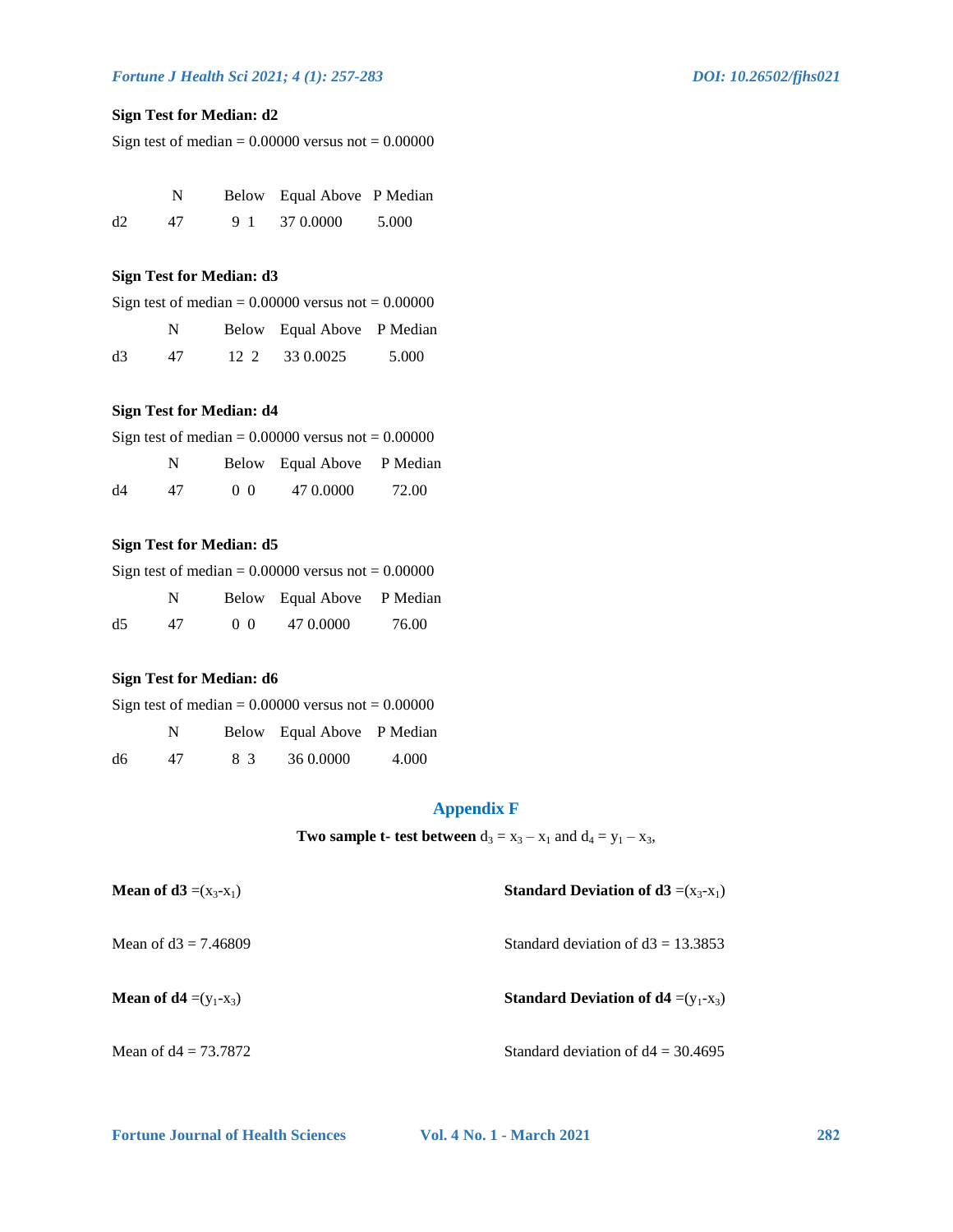# **Sign Test for Median: d2**

Sign test of median  $= 0.00000$  versus not  $= 0.00000$ 

|    | N  | Below Equal Above P Median |       |
|----|----|----------------------------|-------|
| d2 | 47 | 9 1 37 0.0000              | 5.000 |

# **Sign Test for Median: d3**

|  | Sign test of median = $0.00000$ versus not = $0.00000$ |  |
|--|--------------------------------------------------------|--|
|  | Below Equal Above P Median                             |  |

|    | . . | $DCDW$ $Dquark, DQUV$ $I$ $MUQ1$ |       |
|----|-----|----------------------------------|-------|
| d3 | 47  | 12 2 33 0.0025                   | 5.000 |

# **Sign Test for Median: d4**

| Sign test of median = $0.00000$ versus not = $0.00000$ |    |    |                            |       |  |
|--------------------------------------------------------|----|----|----------------------------|-------|--|
|                                                        | N  |    | Below Equal Above P Median |       |  |
| d4                                                     | 47 | 00 | 47 0.0000                  | 72.00 |  |

# **Sign Test for Median: d5**

| Sign test of median = $0.00000$ versus not = $0.00000$ |  |  |                            |  |
|--------------------------------------------------------|--|--|----------------------------|--|
|                                                        |  |  | Below Equal Above P Median |  |

|    |    |                | $DCDW$ $Lquat TDOVC$ I media |       |
|----|----|----------------|------------------------------|-------|
| d5 | 47 | 0 <sub>0</sub> | 47 0.0000                    | 76.00 |

### **Sign Test for Median: d6**

| Sign test of median = $0.00000$ versus not = $0.00000$ |     |    |                            |       |  |  |  |
|--------------------------------------------------------|-----|----|----------------------------|-------|--|--|--|
|                                                        | N.  |    | Below Equal Above P Median |       |  |  |  |
| d6                                                     | 47. | 83 | 36 0.0000                  | 4.000 |  |  |  |

# **Appendix F**

# **Two sample t- test between**  $d_3 = x_3 - x_1$  and  $d_4 = y_1 - x_3$ ,

| <b>Mean of d3</b> = $(x_3-x_1)$   | <b>Standard Deviation of d3</b> = $(x_3-x_1)$ |
|-----------------------------------|-----------------------------------------------|
| Mean of $d3 = 7.46809$            | Standard deviation of $d3 = 13.3853$          |
| <b>Mean of d4</b> = $(y_1 - x_3)$ | <b>Standard Deviation of d4</b> = $(y_1-x_3)$ |
| Mean of $d4 = 73.7872$            | Standard deviation of $d4 = 30.4695$          |